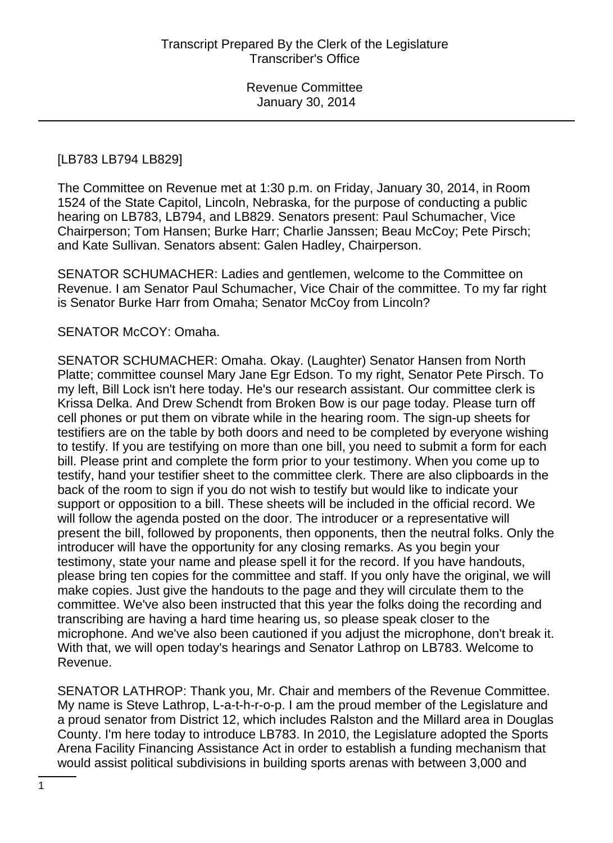#### [LB783 LB794 LB829]

The Committee on Revenue met at 1:30 p.m. on Friday, January 30, 2014, in Room 1524 of the State Capitol, Lincoln, Nebraska, for the purpose of conducting a public hearing on LB783, LB794, and LB829. Senators present: Paul Schumacher, Vice Chairperson; Tom Hansen; Burke Harr; Charlie Janssen; Beau McCoy; Pete Pirsch; and Kate Sullivan. Senators absent: Galen Hadley, Chairperson.

SENATOR SCHUMACHER: Ladies and gentlemen, welcome to the Committee on Revenue. I am Senator Paul Schumacher, Vice Chair of the committee. To my far right is Senator Burke Harr from Omaha; Senator McCoy from Lincoln?

#### SENATOR McCOY: Omaha.

SENATOR SCHUMACHER: Omaha. Okay. (Laughter) Senator Hansen from North Platte; committee counsel Mary Jane Egr Edson. To my right, Senator Pete Pirsch. To my left, Bill Lock isn't here today. He's our research assistant. Our committee clerk is Krissa Delka. And Drew Schendt from Broken Bow is our page today. Please turn off cell phones or put them on vibrate while in the hearing room. The sign-up sheets for testifiers are on the table by both doors and need to be completed by everyone wishing to testify. If you are testifying on more than one bill, you need to submit a form for each bill. Please print and complete the form prior to your testimony. When you come up to testify, hand your testifier sheet to the committee clerk. There are also clipboards in the back of the room to sign if you do not wish to testify but would like to indicate your support or opposition to a bill. These sheets will be included in the official record. We will follow the agenda posted on the door. The introducer or a representative will present the bill, followed by proponents, then opponents, then the neutral folks. Only the introducer will have the opportunity for any closing remarks. As you begin your testimony, state your name and please spell it for the record. If you have handouts, please bring ten copies for the committee and staff. If you only have the original, we will make copies. Just give the handouts to the page and they will circulate them to the committee. We've also been instructed that this year the folks doing the recording and transcribing are having a hard time hearing us, so please speak closer to the microphone. And we've also been cautioned if you adjust the microphone, don't break it. With that, we will open today's hearings and Senator Lathrop on LB783. Welcome to Revenue.

SENATOR LATHROP: Thank you, Mr. Chair and members of the Revenue Committee. My name is Steve Lathrop, L-a-t-h-r-o-p. I am the proud member of the Legislature and a proud senator from District 12, which includes Ralston and the Millard area in Douglas County. I'm here today to introduce LB783. In 2010, the Legislature adopted the Sports Arena Facility Financing Assistance Act in order to establish a funding mechanism that would assist political subdivisions in building sports arenas with between 3,000 and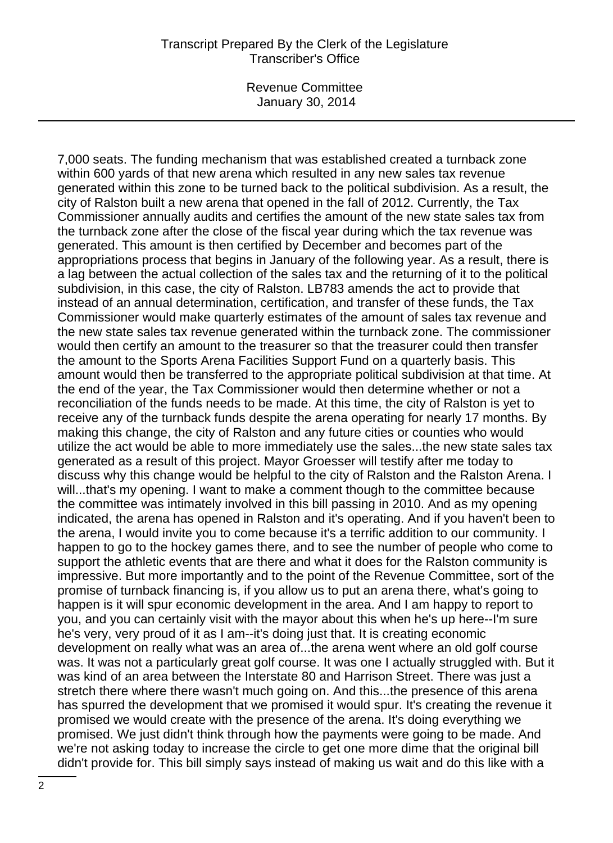7,000 seats. The funding mechanism that was established created a turnback zone within 600 yards of that new arena which resulted in any new sales tax revenue generated within this zone to be turned back to the political subdivision. As a result, the city of Ralston built a new arena that opened in the fall of 2012. Currently, the Tax Commissioner annually audits and certifies the amount of the new state sales tax from the turnback zone after the close of the fiscal year during which the tax revenue was generated. This amount is then certified by December and becomes part of the appropriations process that begins in January of the following year. As a result, there is a lag between the actual collection of the sales tax and the returning of it to the political subdivision, in this case, the city of Ralston. LB783 amends the act to provide that instead of an annual determination, certification, and transfer of these funds, the Tax Commissioner would make quarterly estimates of the amount of sales tax revenue and the new state sales tax revenue generated within the turnback zone. The commissioner would then certify an amount to the treasurer so that the treasurer could then transfer the amount to the Sports Arena Facilities Support Fund on a quarterly basis. This amount would then be transferred to the appropriate political subdivision at that time. At the end of the year, the Tax Commissioner would then determine whether or not a reconciliation of the funds needs to be made. At this time, the city of Ralston is yet to receive any of the turnback funds despite the arena operating for nearly 17 months. By making this change, the city of Ralston and any future cities or counties who would utilize the act would be able to more immediately use the sales...the new state sales tax generated as a result of this project. Mayor Groesser will testify after me today to discuss why this change would be helpful to the city of Ralston and the Ralston Arena. I will...that's my opening. I want to make a comment though to the committee because the committee was intimately involved in this bill passing in 2010. And as my opening indicated, the arena has opened in Ralston and it's operating. And if you haven't been to the arena, I would invite you to come because it's a terrific addition to our community. I happen to go to the hockey games there, and to see the number of people who come to support the athletic events that are there and what it does for the Ralston community is impressive. But more importantly and to the point of the Revenue Committee, sort of the promise of turnback financing is, if you allow us to put an arena there, what's going to happen is it will spur economic development in the area. And I am happy to report to you, and you can certainly visit with the mayor about this when he's up here--I'm sure he's very, very proud of it as I am--it's doing just that. It is creating economic development on really what was an area of...the arena went where an old golf course was. It was not a particularly great golf course. It was one I actually struggled with. But it was kind of an area between the Interstate 80 and Harrison Street. There was just a stretch there where there wasn't much going on. And this...the presence of this arena has spurred the development that we promised it would spur. It's creating the revenue it promised we would create with the presence of the arena. It's doing everything we promised. We just didn't think through how the payments were going to be made. And we're not asking today to increase the circle to get one more dime that the original bill didn't provide for. This bill simply says instead of making us wait and do this like with a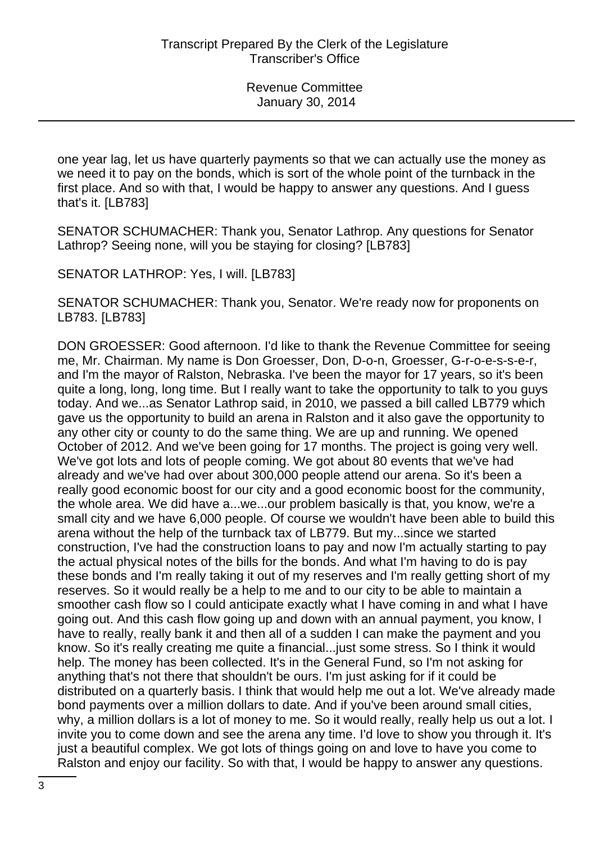one year lag, let us have quarterly payments so that we can actually use the money as we need it to pay on the bonds, which is sort of the whole point of the turnback in the first place. And so with that, I would be happy to answer any questions. And I guess that's it. [LB783]

SENATOR SCHUMACHER: Thank you, Senator Lathrop. Any questions for Senator Lathrop? Seeing none, will you be staying for closing? [LB783]

SENATOR LATHROP: Yes, I will. [LB783]

SENATOR SCHUMACHER: Thank you, Senator. We're ready now for proponents on LB783. [LB783]

DON GROESSER: Good afternoon. I'd like to thank the Revenue Committee for seeing me, Mr. Chairman. My name is Don Groesser, Don, D-o-n, Groesser, G-r-o-e-s-s-e-r, and I'm the mayor of Ralston, Nebraska. I've been the mayor for 17 years, so it's been quite a long, long, long time. But I really want to take the opportunity to talk to you guys today. And we...as Senator Lathrop said, in 2010, we passed a bill called LB779 which gave us the opportunity to build an arena in Ralston and it also gave the opportunity to any other city or county to do the same thing. We are up and running. We opened October of 2012. And we've been going for 17 months. The project is going very well. We've got lots and lots of people coming. We got about 80 events that we've had already and we've had over about 300,000 people attend our arena. So it's been a really good economic boost for our city and a good economic boost for the community, the whole area. We did have a...we...our problem basically is that, you know, we're a small city and we have 6,000 people. Of course we wouldn't have been able to build this arena without the help of the turnback tax of LB779. But my...since we started construction, I've had the construction loans to pay and now I'm actually starting to pay the actual physical notes of the bills for the bonds. And what I'm having to do is pay these bonds and I'm really taking it out of my reserves and I'm really getting short of my reserves. So it would really be a help to me and to our city to be able to maintain a smoother cash flow so I could anticipate exactly what I have coming in and what I have going out. And this cash flow going up and down with an annual payment, you know, I have to really, really bank it and then all of a sudden I can make the payment and you know. So it's really creating me quite a financial...just some stress. So I think it would help. The money has been collected. It's in the General Fund, so I'm not asking for anything that's not there that shouldn't be ours. I'm just asking for if it could be distributed on a quarterly basis. I think that would help me out a lot. We've already made bond payments over a million dollars to date. And if you've been around small cities, why, a million dollars is a lot of money to me. So it would really, really help us out a lot. I invite you to come down and see the arena any time. I'd love to show you through it. It's just a beautiful complex. We got lots of things going on and love to have you come to Ralston and enjoy our facility. So with that, I would be happy to answer any questions.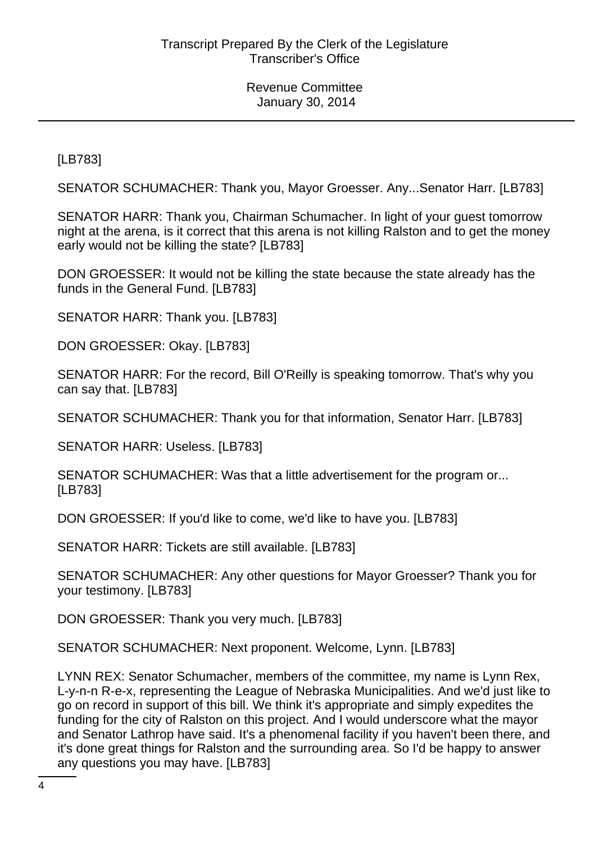[LB783]

SENATOR SCHUMACHER: Thank you, Mayor Groesser. Any...Senator Harr. [LB783]

SENATOR HARR: Thank you, Chairman Schumacher. In light of your guest tomorrow night at the arena, is it correct that this arena is not killing Ralston and to get the money early would not be killing the state? [LB783]

DON GROESSER: It would not be killing the state because the state already has the funds in the General Fund. [LB783]

SENATOR HARR: Thank you. [LB783]

DON GROESSER: Okay. [LB783]

SENATOR HARR: For the record, Bill O'Reilly is speaking tomorrow. That's why you can say that. [LB783]

SENATOR SCHUMACHER: Thank you for that information, Senator Harr. [LB783]

SENATOR HARR: Useless. [LB783]

SENATOR SCHUMACHER: Was that a little advertisement for the program or... [LB783]

DON GROESSER: If you'd like to come, we'd like to have you. [LB783]

SENATOR HARR: Tickets are still available. [LB783]

SENATOR SCHUMACHER: Any other questions for Mayor Groesser? Thank you for your testimony. [LB783]

DON GROESSER: Thank you very much. [LB783]

SENATOR SCHUMACHER: Next proponent. Welcome, Lynn. [LB783]

LYNN REX: Senator Schumacher, members of the committee, my name is Lynn Rex, L-y-n-n R-e-x, representing the League of Nebraska Municipalities. And we'd just like to go on record in support of this bill. We think it's appropriate and simply expedites the funding for the city of Ralston on this project. And I would underscore what the mayor and Senator Lathrop have said. It's a phenomenal facility if you haven't been there, and it's done great things for Ralston and the surrounding area. So I'd be happy to answer any questions you may have. [LB783]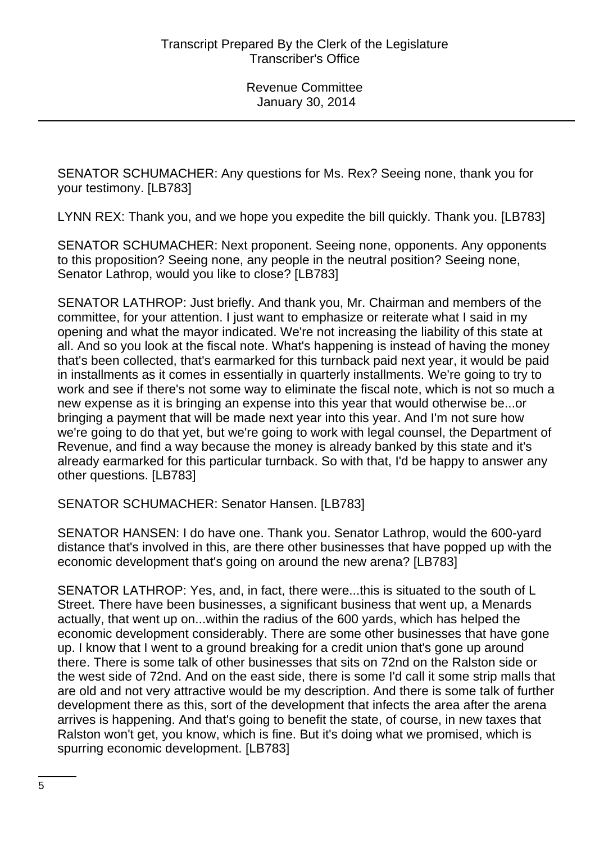SENATOR SCHUMACHER: Any questions for Ms. Rex? Seeing none, thank you for your testimony. [LB783]

LYNN REX: Thank you, and we hope you expedite the bill quickly. Thank you. [LB783]

SENATOR SCHUMACHER: Next proponent. Seeing none, opponents. Any opponents to this proposition? Seeing none, any people in the neutral position? Seeing none, Senator Lathrop, would you like to close? [LB783]

SENATOR LATHROP: Just briefly. And thank you, Mr. Chairman and members of the committee, for your attention. I just want to emphasize or reiterate what I said in my opening and what the mayor indicated. We're not increasing the liability of this state at all. And so you look at the fiscal note. What's happening is instead of having the money that's been collected, that's earmarked for this turnback paid next year, it would be paid in installments as it comes in essentially in quarterly installments. We're going to try to work and see if there's not some way to eliminate the fiscal note, which is not so much a new expense as it is bringing an expense into this year that would otherwise be...or bringing a payment that will be made next year into this year. And I'm not sure how we're going to do that yet, but we're going to work with legal counsel, the Department of Revenue, and find a way because the money is already banked by this state and it's already earmarked for this particular turnback. So with that, I'd be happy to answer any other questions. [LB783]

SENATOR SCHUMACHER: Senator Hansen. [LB783]

SENATOR HANSEN: I do have one. Thank you. Senator Lathrop, would the 600-yard distance that's involved in this, are there other businesses that have popped up with the economic development that's going on around the new arena? [LB783]

SENATOR LATHROP: Yes, and, in fact, there were...this is situated to the south of L Street. There have been businesses, a significant business that went up, a Menards actually, that went up on...within the radius of the 600 yards, which has helped the economic development considerably. There are some other businesses that have gone up. I know that I went to a ground breaking for a credit union that's gone up around there. There is some talk of other businesses that sits on 72nd on the Ralston side or the west side of 72nd. And on the east side, there is some I'd call it some strip malls that are old and not very attractive would be my description. And there is some talk of further development there as this, sort of the development that infects the area after the arena arrives is happening. And that's going to benefit the state, of course, in new taxes that Ralston won't get, you know, which is fine. But it's doing what we promised, which is spurring economic development. [LB783]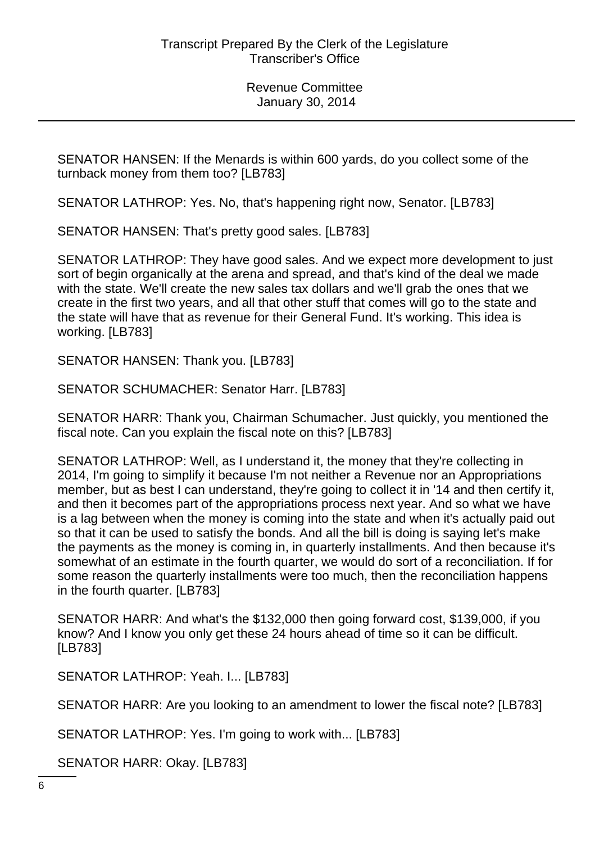SENATOR HANSEN: If the Menards is within 600 yards, do you collect some of the turnback money from them too? [LB783]

SENATOR LATHROP: Yes. No, that's happening right now, Senator. [LB783]

SENATOR HANSEN: That's pretty good sales. [LB783]

SENATOR LATHROP: They have good sales. And we expect more development to just sort of begin organically at the arena and spread, and that's kind of the deal we made with the state. We'll create the new sales tax dollars and we'll grab the ones that we create in the first two years, and all that other stuff that comes will go to the state and the state will have that as revenue for their General Fund. It's working. This idea is working. [LB783]

SENATOR HANSEN: Thank you. [LB783]

SENATOR SCHUMACHER: Senator Harr. [LB783]

SENATOR HARR: Thank you, Chairman Schumacher. Just quickly, you mentioned the fiscal note. Can you explain the fiscal note on this? [LB783]

SENATOR LATHROP: Well, as I understand it, the money that they're collecting in 2014, I'm going to simplify it because I'm not neither a Revenue nor an Appropriations member, but as best I can understand, they're going to collect it in '14 and then certify it, and then it becomes part of the appropriations process next year. And so what we have is a lag between when the money is coming into the state and when it's actually paid out so that it can be used to satisfy the bonds. And all the bill is doing is saying let's make the payments as the money is coming in, in quarterly installments. And then because it's somewhat of an estimate in the fourth quarter, we would do sort of a reconciliation. If for some reason the quarterly installments were too much, then the reconciliation happens in the fourth quarter. [LB783]

SENATOR HARR: And what's the \$132,000 then going forward cost, \$139,000, if you know? And I know you only get these 24 hours ahead of time so it can be difficult. [LB783]

SENATOR LATHROP: Yeah. I... [LB783]

SENATOR HARR: Are you looking to an amendment to lower the fiscal note? [LB783]

SENATOR LATHROP: Yes. I'm going to work with... [LB783]

SENATOR HARR: Okay. [LB783]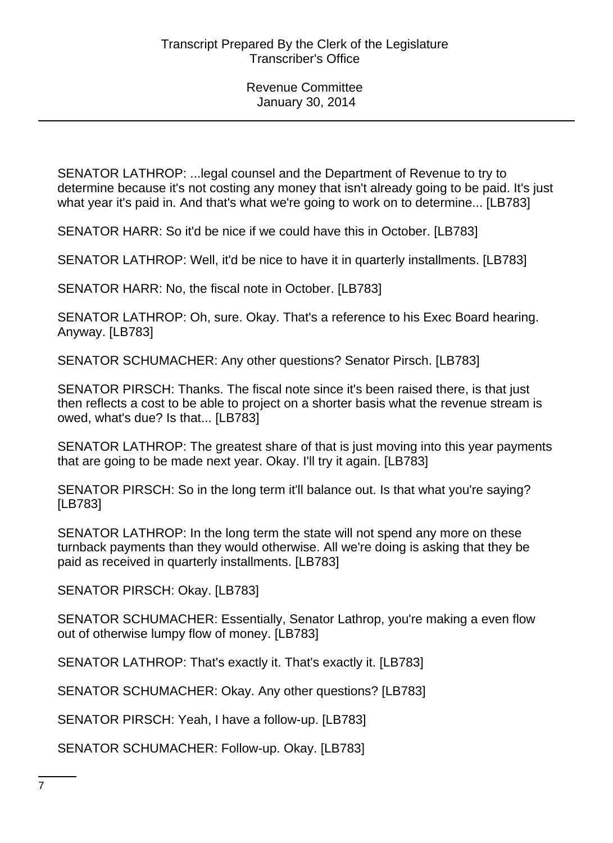SENATOR LATHROP: ...legal counsel and the Department of Revenue to try to determine because it's not costing any money that isn't already going to be paid. It's just what year it's paid in. And that's what we're going to work on to determine... [LB783]

SENATOR HARR: So it'd be nice if we could have this in October. [LB783]

SENATOR LATHROP: Well, it'd be nice to have it in quarterly installments. [LB783]

SENATOR HARR: No, the fiscal note in October. [LB783]

SENATOR LATHROP: Oh, sure. Okay. That's a reference to his Exec Board hearing. Anyway. [LB783]

SENATOR SCHUMACHER: Any other questions? Senator Pirsch. [LB783]

SENATOR PIRSCH: Thanks. The fiscal note since it's been raised there, is that just then reflects a cost to be able to project on a shorter basis what the revenue stream is owed, what's due? Is that... [LB783]

SENATOR LATHROP: The greatest share of that is just moving into this year payments that are going to be made next year. Okay. I'll try it again. [LB783]

SENATOR PIRSCH: So in the long term it'll balance out. Is that what you're saying? [LB783]

SENATOR LATHROP: In the long term the state will not spend any more on these turnback payments than they would otherwise. All we're doing is asking that they be paid as received in quarterly installments. [LB783]

SENATOR PIRSCH: Okay. [LB783]

SENATOR SCHUMACHER: Essentially, Senator Lathrop, you're making a even flow out of otherwise lumpy flow of money. [LB783]

SENATOR LATHROP: That's exactly it. That's exactly it. [LB783]

SENATOR SCHUMACHER: Okay. Any other questions? [LB783]

SENATOR PIRSCH: Yeah, I have a follow-up. [LB783]

SENATOR SCHUMACHER: Follow-up. Okay. [LB783]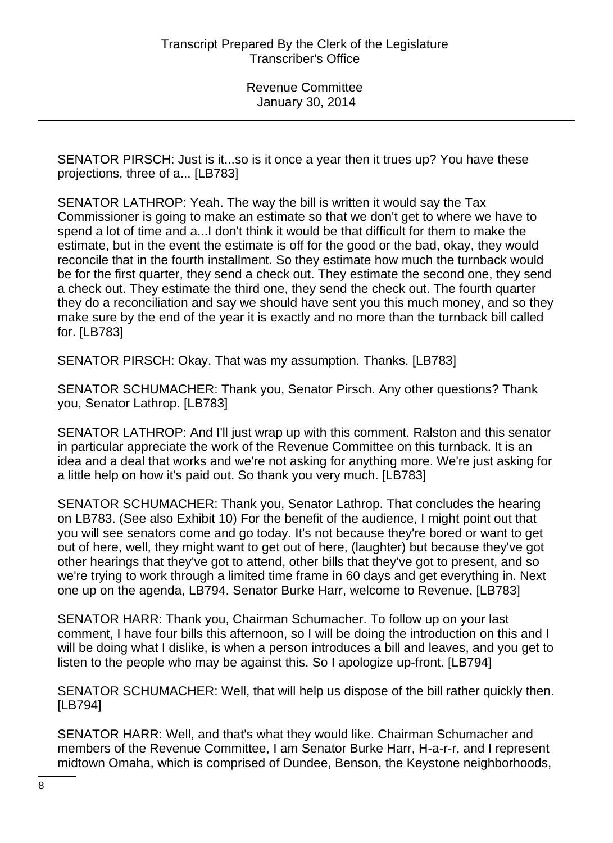SENATOR PIRSCH: Just is it...so is it once a year then it trues up? You have these projections, three of a... [LB783]

SENATOR LATHROP: Yeah. The way the bill is written it would say the Tax Commissioner is going to make an estimate so that we don't get to where we have to spend a lot of time and a...I don't think it would be that difficult for them to make the estimate, but in the event the estimate is off for the good or the bad, okay, they would reconcile that in the fourth installment. So they estimate how much the turnback would be for the first quarter, they send a check out. They estimate the second one, they send a check out. They estimate the third one, they send the check out. The fourth quarter they do a reconciliation and say we should have sent you this much money, and so they make sure by the end of the year it is exactly and no more than the turnback bill called for. [LB783]

SENATOR PIRSCH: Okay. That was my assumption. Thanks. [LB783]

SENATOR SCHUMACHER: Thank you, Senator Pirsch. Any other questions? Thank you, Senator Lathrop. [LB783]

SENATOR LATHROP: And I'll just wrap up with this comment. Ralston and this senator in particular appreciate the work of the Revenue Committee on this turnback. It is an idea and a deal that works and we're not asking for anything more. We're just asking for a little help on how it's paid out. So thank you very much. [LB783]

SENATOR SCHUMACHER: Thank you, Senator Lathrop. That concludes the hearing on LB783. (See also Exhibit 10) For the benefit of the audience, I might point out that you will see senators come and go today. It's not because they're bored or want to get out of here, well, they might want to get out of here, (laughter) but because they've got other hearings that they've got to attend, other bills that they've got to present, and so we're trying to work through a limited time frame in 60 days and get everything in. Next one up on the agenda, LB794. Senator Burke Harr, welcome to Revenue. [LB783]

SENATOR HARR: Thank you, Chairman Schumacher. To follow up on your last comment, I have four bills this afternoon, so I will be doing the introduction on this and I will be doing what I dislike, is when a person introduces a bill and leaves, and you get to listen to the people who may be against this. So I apologize up-front. [LB794]

SENATOR SCHUMACHER: Well, that will help us dispose of the bill rather quickly then. [LB794]

SENATOR HARR: Well, and that's what they would like. Chairman Schumacher and members of the Revenue Committee, I am Senator Burke Harr, H-a-r-r, and I represent midtown Omaha, which is comprised of Dundee, Benson, the Keystone neighborhoods,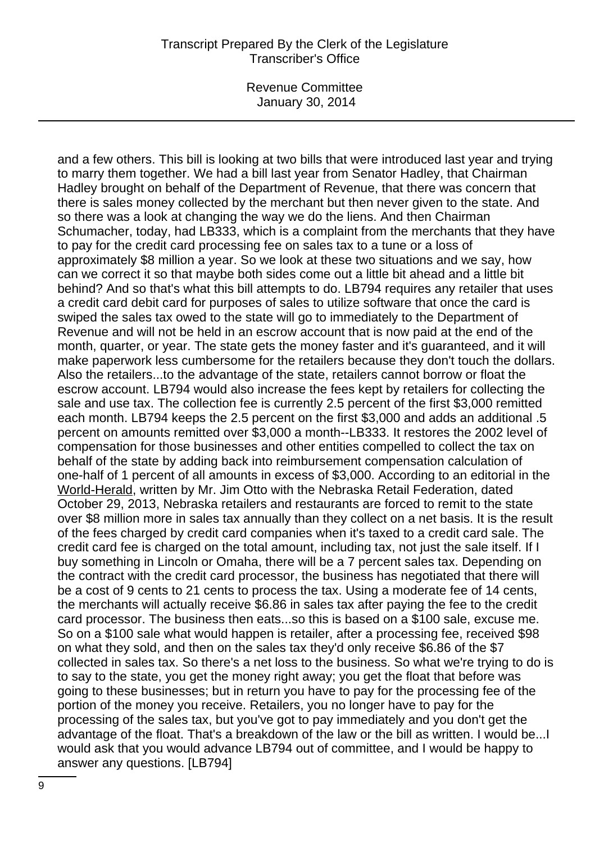Revenue Committee January 30, 2014

and a few others. This bill is looking at two bills that were introduced last year and trying to marry them together. We had a bill last year from Senator Hadley, that Chairman Hadley brought on behalf of the Department of Revenue, that there was concern that there is sales money collected by the merchant but then never given to the state. And so there was a look at changing the way we do the liens. And then Chairman Schumacher, today, had LB333, which is a complaint from the merchants that they have to pay for the credit card processing fee on sales tax to a tune or a loss of approximately \$8 million a year. So we look at these two situations and we say, how can we correct it so that maybe both sides come out a little bit ahead and a little bit behind? And so that's what this bill attempts to do. LB794 requires any retailer that uses a credit card debit card for purposes of sales to utilize software that once the card is swiped the sales tax owed to the state will go to immediately to the Department of Revenue and will not be held in an escrow account that is now paid at the end of the month, quarter, or year. The state gets the money faster and it's guaranteed, and it will make paperwork less cumbersome for the retailers because they don't touch the dollars. Also the retailers...to the advantage of the state, retailers cannot borrow or float the escrow account. LB794 would also increase the fees kept by retailers for collecting the sale and use tax. The collection fee is currently 2.5 percent of the first \$3,000 remitted each month. LB794 keeps the 2.5 percent on the first \$3,000 and adds an additional .5 percent on amounts remitted over \$3,000 a month--LB333. It restores the 2002 level of compensation for those businesses and other entities compelled to collect the tax on behalf of the state by adding back into reimbursement compensation calculation of one-half of 1 percent of all amounts in excess of \$3,000. According to an editorial in the World-Herald, written by Mr. Jim Otto with the Nebraska Retail Federation, dated October 29, 2013, Nebraska retailers and restaurants are forced to remit to the state over \$8 million more in sales tax annually than they collect on a net basis. It is the result of the fees charged by credit card companies when it's taxed to a credit card sale. The credit card fee is charged on the total amount, including tax, not just the sale itself. If I buy something in Lincoln or Omaha, there will be a 7 percent sales tax. Depending on the contract with the credit card processor, the business has negotiated that there will be a cost of 9 cents to 21 cents to process the tax. Using a moderate fee of 14 cents, the merchants will actually receive \$6.86 in sales tax after paying the fee to the credit card processor. The business then eats...so this is based on a \$100 sale, excuse me. So on a \$100 sale what would happen is retailer, after a processing fee, received \$98 on what they sold, and then on the sales tax they'd only receive \$6.86 of the \$7 collected in sales tax. So there's a net loss to the business. So what we're trying to do is to say to the state, you get the money right away; you get the float that before was going to these businesses; but in return you have to pay for the processing fee of the portion of the money you receive. Retailers, you no longer have to pay for the processing of the sales tax, but you've got to pay immediately and you don't get the advantage of the float. That's a breakdown of the law or the bill as written. I would be...I would ask that you would advance LB794 out of committee, and I would be happy to answer any questions. [LB794]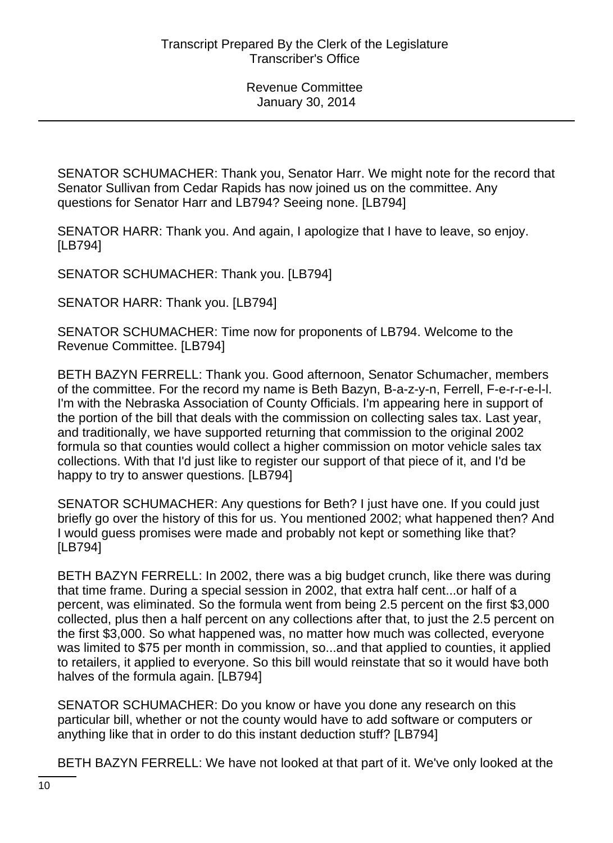SENATOR SCHUMACHER: Thank you, Senator Harr. We might note for the record that Senator Sullivan from Cedar Rapids has now joined us on the committee. Any questions for Senator Harr and LB794? Seeing none. [LB794]

SENATOR HARR: Thank you. And again, I apologize that I have to leave, so enjoy. [LB794]

SENATOR SCHUMACHER: Thank you. [LB794]

SENATOR HARR: Thank you. [LB794]

SENATOR SCHUMACHER: Time now for proponents of LB794. Welcome to the Revenue Committee. [LB794]

BETH BAZYN FERRELL: Thank you. Good afternoon, Senator Schumacher, members of the committee. For the record my name is Beth Bazyn, B-a-z-y-n, Ferrell, F-e-r-r-e-l-l. I'm with the Nebraska Association of County Officials. I'm appearing here in support of the portion of the bill that deals with the commission on collecting sales tax. Last year, and traditionally, we have supported returning that commission to the original 2002 formula so that counties would collect a higher commission on motor vehicle sales tax collections. With that I'd just like to register our support of that piece of it, and I'd be happy to try to answer questions. [LB794]

SENATOR SCHUMACHER: Any questions for Beth? I just have one. If you could just briefly go over the history of this for us. You mentioned 2002; what happened then? And I would guess promises were made and probably not kept or something like that? [LB794]

BETH BAZYN FERRELL: In 2002, there was a big budget crunch, like there was during that time frame. During a special session in 2002, that extra half cent...or half of a percent, was eliminated. So the formula went from being 2.5 percent on the first \$3,000 collected, plus then a half percent on any collections after that, to just the 2.5 percent on the first \$3,000. So what happened was, no matter how much was collected, everyone was limited to \$75 per month in commission, so...and that applied to counties, it applied to retailers, it applied to everyone. So this bill would reinstate that so it would have both halves of the formula again. [LB794]

SENATOR SCHUMACHER: Do you know or have you done any research on this particular bill, whether or not the county would have to add software or computers or anything like that in order to do this instant deduction stuff? [LB794]

BETH BAZYN FERRELL: We have not looked at that part of it. We've only looked at the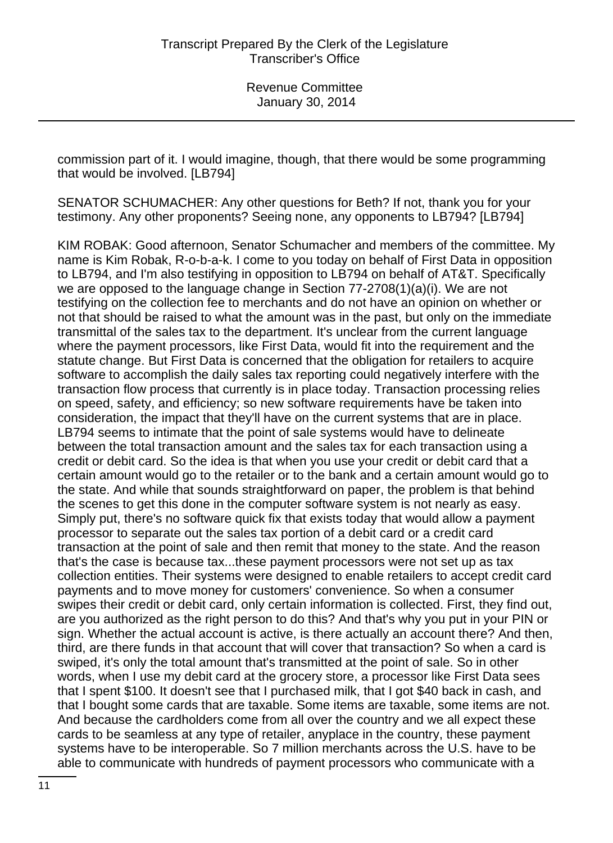commission part of it. I would imagine, though, that there would be some programming that would be involved. [LB794]

SENATOR SCHUMACHER: Any other questions for Beth? If not, thank you for your testimony. Any other proponents? Seeing none, any opponents to LB794? [LB794]

KIM ROBAK: Good afternoon, Senator Schumacher and members of the committee. My name is Kim Robak, R-o-b-a-k. I come to you today on behalf of First Data in opposition to LB794, and I'm also testifying in opposition to LB794 on behalf of AT&T. Specifically we are opposed to the language change in Section 77-2708(1)(a)(i). We are not testifying on the collection fee to merchants and do not have an opinion on whether or not that should be raised to what the amount was in the past, but only on the immediate transmittal of the sales tax to the department. It's unclear from the current language where the payment processors, like First Data, would fit into the requirement and the statute change. But First Data is concerned that the obligation for retailers to acquire software to accomplish the daily sales tax reporting could negatively interfere with the transaction flow process that currently is in place today. Transaction processing relies on speed, safety, and efficiency; so new software requirements have be taken into consideration, the impact that they'll have on the current systems that are in place. LB794 seems to intimate that the point of sale systems would have to delineate between the total transaction amount and the sales tax for each transaction using a credit or debit card. So the idea is that when you use your credit or debit card that a certain amount would go to the retailer or to the bank and a certain amount would go to the state. And while that sounds straightforward on paper, the problem is that behind the scenes to get this done in the computer software system is not nearly as easy. Simply put, there's no software quick fix that exists today that would allow a payment processor to separate out the sales tax portion of a debit card or a credit card transaction at the point of sale and then remit that money to the state. And the reason that's the case is because tax...these payment processors were not set up as tax collection entities. Their systems were designed to enable retailers to accept credit card payments and to move money for customers' convenience. So when a consumer swipes their credit or debit card, only certain information is collected. First, they find out, are you authorized as the right person to do this? And that's why you put in your PIN or sign. Whether the actual account is active, is there actually an account there? And then, third, are there funds in that account that will cover that transaction? So when a card is swiped, it's only the total amount that's transmitted at the point of sale. So in other words, when I use my debit card at the grocery store, a processor like First Data sees that I spent \$100. It doesn't see that I purchased milk, that I got \$40 back in cash, and that I bought some cards that are taxable. Some items are taxable, some items are not. And because the cardholders come from all over the country and we all expect these cards to be seamless at any type of retailer, anyplace in the country, these payment systems have to be interoperable. So 7 million merchants across the U.S. have to be able to communicate with hundreds of payment processors who communicate with a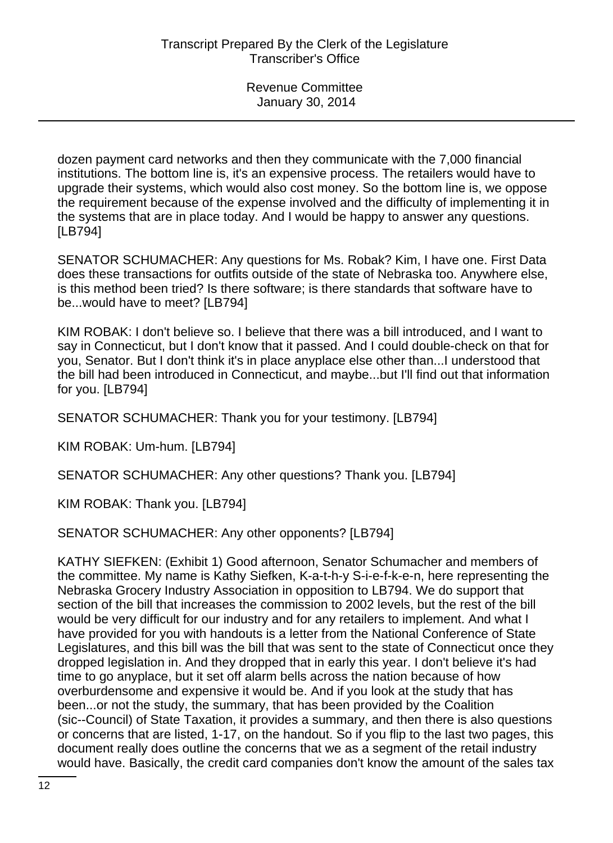dozen payment card networks and then they communicate with the 7,000 financial institutions. The bottom line is, it's an expensive process. The retailers would have to upgrade their systems, which would also cost money. So the bottom line is, we oppose the requirement because of the expense involved and the difficulty of implementing it in the systems that are in place today. And I would be happy to answer any questions. [LB794]

SENATOR SCHUMACHER: Any questions for Ms. Robak? Kim, I have one. First Data does these transactions for outfits outside of the state of Nebraska too. Anywhere else, is this method been tried? Is there software; is there standards that software have to be...would have to meet? [LB794]

KIM ROBAK: I don't believe so. I believe that there was a bill introduced, and I want to say in Connecticut, but I don't know that it passed. And I could double-check on that for you, Senator. But I don't think it's in place anyplace else other than...I understood that the bill had been introduced in Connecticut, and maybe...but I'll find out that information for you. [LB794]

SENATOR SCHUMACHER: Thank you for your testimony. [LB794]

KIM ROBAK: Um-hum. [LB794]

SENATOR SCHUMACHER: Any other questions? Thank you. [LB794]

KIM ROBAK: Thank you. [LB794]

SENATOR SCHUMACHER: Any other opponents? [LB794]

KATHY SIEFKEN: (Exhibit 1) Good afternoon, Senator Schumacher and members of the committee. My name is Kathy Siefken, K-a-t-h-y S-i-e-f-k-e-n, here representing the Nebraska Grocery Industry Association in opposition to LB794. We do support that section of the bill that increases the commission to 2002 levels, but the rest of the bill would be very difficult for our industry and for any retailers to implement. And what I have provided for you with handouts is a letter from the National Conference of State Legislatures, and this bill was the bill that was sent to the state of Connecticut once they dropped legislation in. And they dropped that in early this year. I don't believe it's had time to go anyplace, but it set off alarm bells across the nation because of how overburdensome and expensive it would be. And if you look at the study that has been...or not the study, the summary, that has been provided by the Coalition (sic--Council) of State Taxation, it provides a summary, and then there is also questions or concerns that are listed, 1-17, on the handout. So if you flip to the last two pages, this document really does outline the concerns that we as a segment of the retail industry would have. Basically, the credit card companies don't know the amount of the sales tax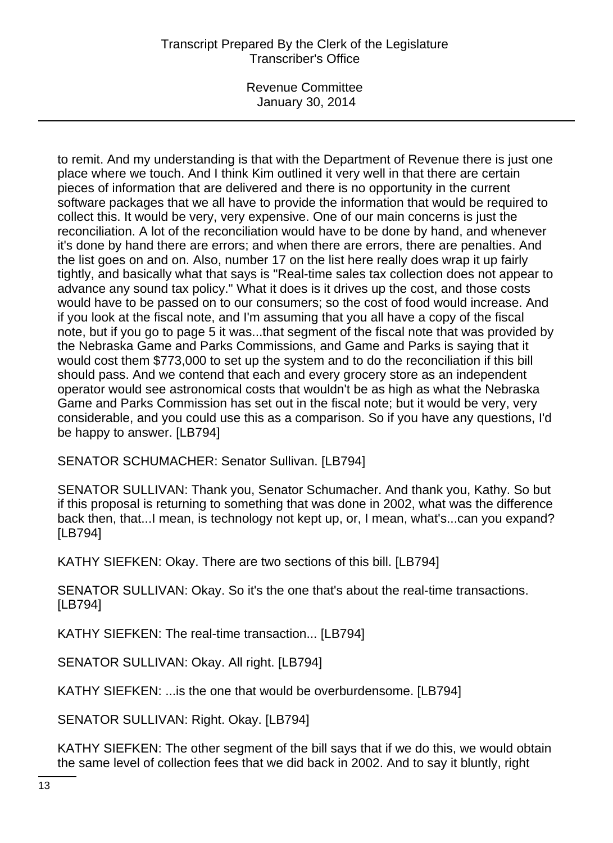Revenue Committee January 30, 2014

to remit. And my understanding is that with the Department of Revenue there is just one place where we touch. And I think Kim outlined it very well in that there are certain pieces of information that are delivered and there is no opportunity in the current software packages that we all have to provide the information that would be required to collect this. It would be very, very expensive. One of our main concerns is just the reconciliation. A lot of the reconciliation would have to be done by hand, and whenever it's done by hand there are errors; and when there are errors, there are penalties. And the list goes on and on. Also, number 17 on the list here really does wrap it up fairly tightly, and basically what that says is "Real-time sales tax collection does not appear to advance any sound tax policy." What it does is it drives up the cost, and those costs would have to be passed on to our consumers; so the cost of food would increase. And if you look at the fiscal note, and I'm assuming that you all have a copy of the fiscal note, but if you go to page 5 it was...that segment of the fiscal note that was provided by the Nebraska Game and Parks Commissions, and Game and Parks is saying that it would cost them \$773,000 to set up the system and to do the reconciliation if this bill should pass. And we contend that each and every grocery store as an independent operator would see astronomical costs that wouldn't be as high as what the Nebraska Game and Parks Commission has set out in the fiscal note; but it would be very, very considerable, and you could use this as a comparison. So if you have any questions, I'd be happy to answer. [LB794]

SENATOR SCHUMACHER: Senator Sullivan. [LB794]

SENATOR SULLIVAN: Thank you, Senator Schumacher. And thank you, Kathy. So but if this proposal is returning to something that was done in 2002, what was the difference back then, that...I mean, is technology not kept up, or, I mean, what's...can you expand? [LB794]

KATHY SIEFKEN: Okay. There are two sections of this bill. [LB794]

SENATOR SULLIVAN: Okay. So it's the one that's about the real-time transactions. [LB794]

KATHY SIEFKEN: The real-time transaction... [LB794]

SENATOR SULLIVAN: Okay. All right. [LB794]

KATHY SIEFKEN: ...is the one that would be overburdensome. [LB794]

SENATOR SULLIVAN: Right. Okay. [LB794]

KATHY SIEFKEN: The other segment of the bill says that if we do this, we would obtain the same level of collection fees that we did back in 2002. And to say it bluntly, right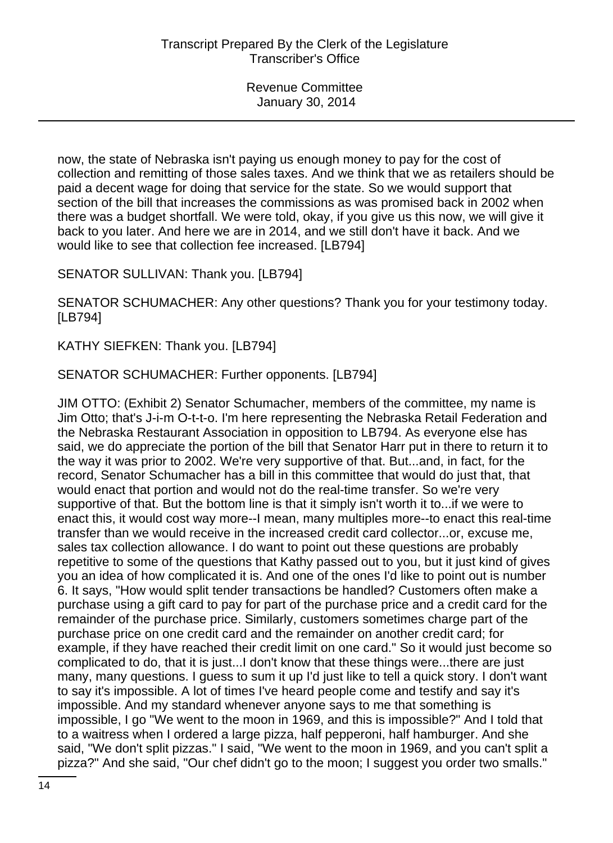now, the state of Nebraska isn't paying us enough money to pay for the cost of collection and remitting of those sales taxes. And we think that we as retailers should be paid a decent wage for doing that service for the state. So we would support that section of the bill that increases the commissions as was promised back in 2002 when there was a budget shortfall. We were told, okay, if you give us this now, we will give it back to you later. And here we are in 2014, and we still don't have it back. And we would like to see that collection fee increased. [LB794]

SENATOR SULLIVAN: Thank you. [LB794]

SENATOR SCHUMACHER: Any other questions? Thank you for your testimony today. [LB794]

KATHY SIEFKEN: Thank you. [LB794]

SENATOR SCHUMACHER: Further opponents. [LB794]

JIM OTTO: (Exhibit 2) Senator Schumacher, members of the committee, my name is Jim Otto; that's J-i-m O-t-t-o. I'm here representing the Nebraska Retail Federation and the Nebraska Restaurant Association in opposition to LB794. As everyone else has said, we do appreciate the portion of the bill that Senator Harr put in there to return it to the way it was prior to 2002. We're very supportive of that. But...and, in fact, for the record, Senator Schumacher has a bill in this committee that would do just that, that would enact that portion and would not do the real-time transfer. So we're very supportive of that. But the bottom line is that it simply isn't worth it to...if we were to enact this, it would cost way more--I mean, many multiples more--to enact this real-time transfer than we would receive in the increased credit card collector...or, excuse me, sales tax collection allowance. I do want to point out these questions are probably repetitive to some of the questions that Kathy passed out to you, but it just kind of gives you an idea of how complicated it is. And one of the ones I'd like to point out is number 6. It says, "How would split tender transactions be handled? Customers often make a purchase using a gift card to pay for part of the purchase price and a credit card for the remainder of the purchase price. Similarly, customers sometimes charge part of the purchase price on one credit card and the remainder on another credit card; for example, if they have reached their credit limit on one card." So it would just become so complicated to do, that it is just...I don't know that these things were...there are just many, many questions. I guess to sum it up I'd just like to tell a quick story. I don't want to say it's impossible. A lot of times I've heard people come and testify and say it's impossible. And my standard whenever anyone says to me that something is impossible, I go "We went to the moon in 1969, and this is impossible?" And I told that to a waitress when I ordered a large pizza, half pepperoni, half hamburger. And she said, "We don't split pizzas." I said, "We went to the moon in 1969, and you can't split a pizza?" And she said, "Our chef didn't go to the moon; I suggest you order two smalls."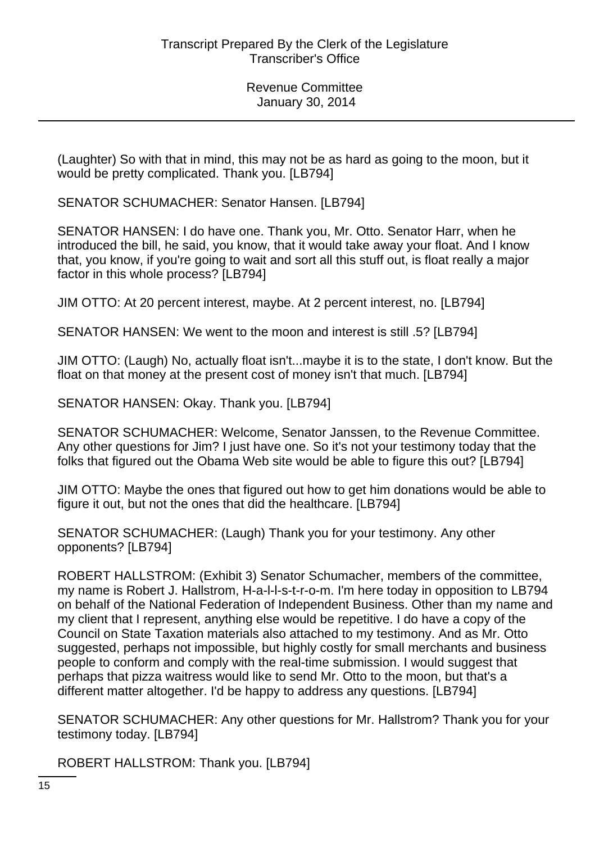(Laughter) So with that in mind, this may not be as hard as going to the moon, but it would be pretty complicated. Thank you. [LB794]

SENATOR SCHUMACHER: Senator Hansen. [LB794]

SENATOR HANSEN: I do have one. Thank you, Mr. Otto. Senator Harr, when he introduced the bill, he said, you know, that it would take away your float. And I know that, you know, if you're going to wait and sort all this stuff out, is float really a major factor in this whole process? [LB794]

JIM OTTO: At 20 percent interest, maybe. At 2 percent interest, no. [LB794]

SENATOR HANSEN: We went to the moon and interest is still .5? [LB794]

JIM OTTO: (Laugh) No, actually float isn't...maybe it is to the state, I don't know. But the float on that money at the present cost of money isn't that much. [LB794]

SENATOR HANSEN: Okay. Thank you. [LB794]

SENATOR SCHUMACHER: Welcome, Senator Janssen, to the Revenue Committee. Any other questions for Jim? I just have one. So it's not your testimony today that the folks that figured out the Obama Web site would be able to figure this out? [LB794]

JIM OTTO: Maybe the ones that figured out how to get him donations would be able to figure it out, but not the ones that did the healthcare. [LB794]

SENATOR SCHUMACHER: (Laugh) Thank you for your testimony. Any other opponents? [LB794]

ROBERT HALLSTROM: (Exhibit 3) Senator Schumacher, members of the committee, my name is Robert J. Hallstrom, H-a-l-l-s-t-r-o-m. I'm here today in opposition to LB794 on behalf of the National Federation of Independent Business. Other than my name and my client that I represent, anything else would be repetitive. I do have a copy of the Council on State Taxation materials also attached to my testimony. And as Mr. Otto suggested, perhaps not impossible, but highly costly for small merchants and business people to conform and comply with the real-time submission. I would suggest that perhaps that pizza waitress would like to send Mr. Otto to the moon, but that's a different matter altogether. I'd be happy to address any questions. [LB794]

SENATOR SCHUMACHER: Any other questions for Mr. Hallstrom? Thank you for your testimony today. [LB794]

ROBERT HALLSTROM: Thank you. [LB794]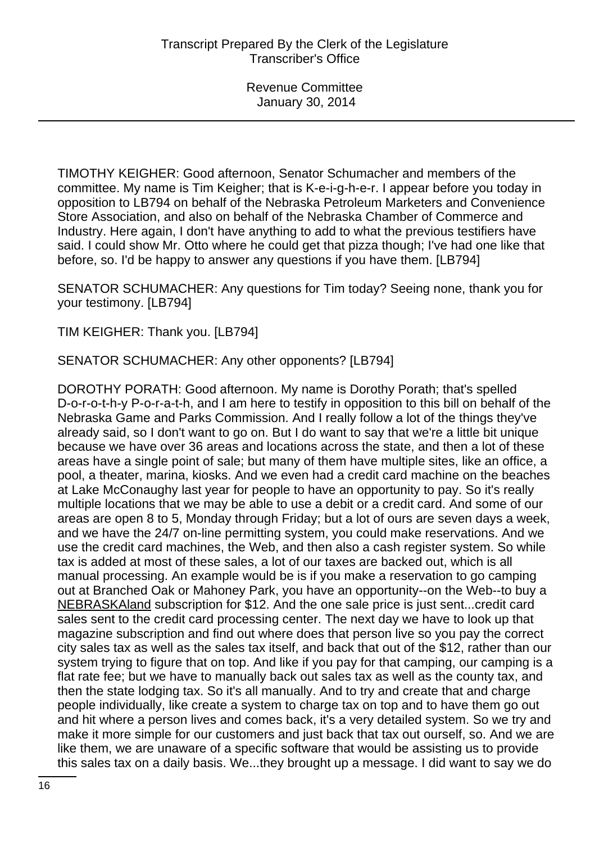TIMOTHY KEIGHER: Good afternoon, Senator Schumacher and members of the committee. My name is Tim Keigher; that is K-e-i-g-h-e-r. I appear before you today in opposition to LB794 on behalf of the Nebraska Petroleum Marketers and Convenience Store Association, and also on behalf of the Nebraska Chamber of Commerce and Industry. Here again, I don't have anything to add to what the previous testifiers have said. I could show Mr. Otto where he could get that pizza though; I've had one like that before, so. I'd be happy to answer any questions if you have them. [LB794]

SENATOR SCHUMACHER: Any questions for Tim today? Seeing none, thank you for your testimony. [LB794]

TIM KEIGHER: Thank you. [LB794]

SENATOR SCHUMACHER: Any other opponents? [LB794]

DOROTHY PORATH: Good afternoon. My name is Dorothy Porath; that's spelled D-o-r-o-t-h-y P-o-r-a-t-h, and I am here to testify in opposition to this bill on behalf of the Nebraska Game and Parks Commission. And I really follow a lot of the things they've already said, so I don't want to go on. But I do want to say that we're a little bit unique because we have over 36 areas and locations across the state, and then a lot of these areas have a single point of sale; but many of them have multiple sites, like an office, a pool, a theater, marina, kiosks. And we even had a credit card machine on the beaches at Lake McConaughy last year for people to have an opportunity to pay. So it's really multiple locations that we may be able to use a debit or a credit card. And some of our areas are open 8 to 5, Monday through Friday; but a lot of ours are seven days a week, and we have the 24/7 on-line permitting system, you could make reservations. And we use the credit card machines, the Web, and then also a cash register system. So while tax is added at most of these sales, a lot of our taxes are backed out, which is all manual processing. An example would be is if you make a reservation to go camping out at Branched Oak or Mahoney Park, you have an opportunity--on the Web--to buy a NEBRASKAland subscription for \$12. And the one sale price is just sent...credit card sales sent to the credit card processing center. The next day we have to look up that magazine subscription and find out where does that person live so you pay the correct city sales tax as well as the sales tax itself, and back that out of the \$12, rather than our system trying to figure that on top. And like if you pay for that camping, our camping is a flat rate fee; but we have to manually back out sales tax as well as the county tax, and then the state lodging tax. So it's all manually. And to try and create that and charge people individually, like create a system to charge tax on top and to have them go out and hit where a person lives and comes back, it's a very detailed system. So we try and make it more simple for our customers and just back that tax out ourself, so. And we are like them, we are unaware of a specific software that would be assisting us to provide this sales tax on a daily basis. We...they brought up a message. I did want to say we do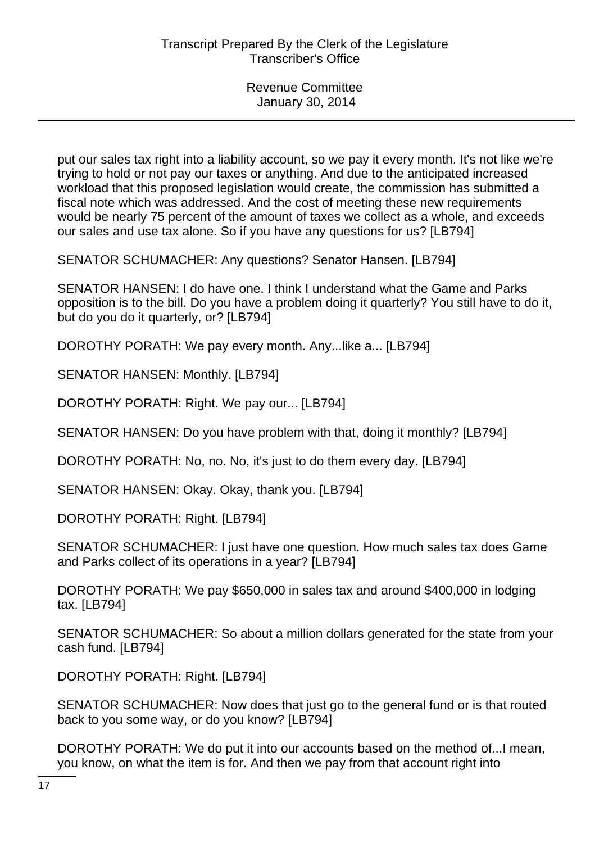put our sales tax right into a liability account, so we pay it every month. It's not like we're trying to hold or not pay our taxes or anything. And due to the anticipated increased workload that this proposed legislation would create, the commission has submitted a fiscal note which was addressed. And the cost of meeting these new requirements would be nearly 75 percent of the amount of taxes we collect as a whole, and exceeds our sales and use tax alone. So if you have any questions for us? [LB794]

SENATOR SCHUMACHER: Any questions? Senator Hansen. [LB794]

SENATOR HANSEN: I do have one. I think I understand what the Game and Parks opposition is to the bill. Do you have a problem doing it quarterly? You still have to do it, but do you do it quarterly, or? [LB794]

DOROTHY PORATH: We pay every month. Any...like a... [LB794]

SENATOR HANSEN: Monthly. [LB794]

DOROTHY PORATH: Right. We pay our... [LB794]

SENATOR HANSEN: Do you have problem with that, doing it monthly? [LB794]

DOROTHY PORATH: No, no. No, it's just to do them every day. [LB794]

SENATOR HANSEN: Okay. Okay, thank you. [LB794]

DOROTHY PORATH: Right. [LB794]

SENATOR SCHUMACHER: I just have one question. How much sales tax does Game and Parks collect of its operations in a year? [LB794]

DOROTHY PORATH: We pay \$650,000 in sales tax and around \$400,000 in lodging tax. [LB794]

SENATOR SCHUMACHER: So about a million dollars generated for the state from your cash fund. [LB794]

DOROTHY PORATH: Right. [LB794]

SENATOR SCHUMACHER: Now does that just go to the general fund or is that routed back to you some way, or do you know? [LB794]

DOROTHY PORATH: We do put it into our accounts based on the method of...I mean, you know, on what the item is for. And then we pay from that account right into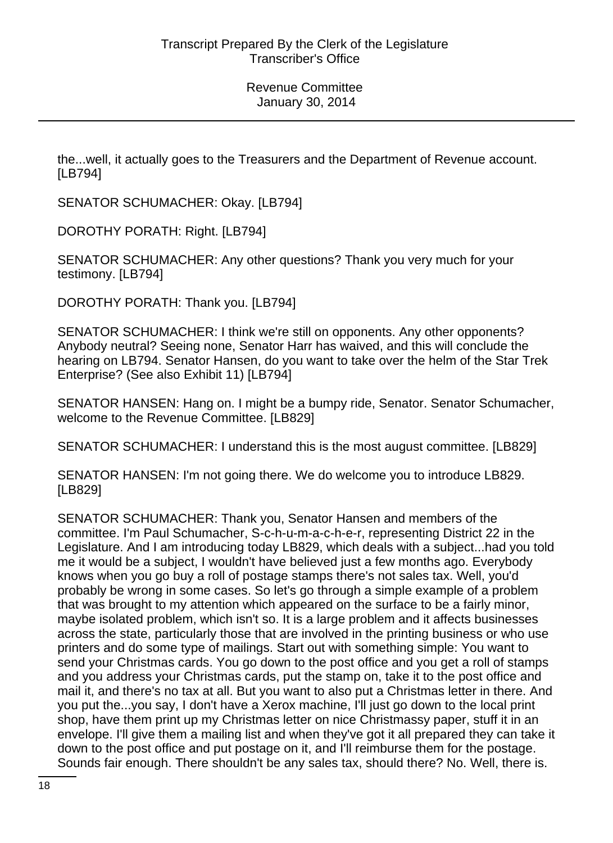the...well, it actually goes to the Treasurers and the Department of Revenue account. [LB794]

SENATOR SCHUMACHER: Okay. [LB794]

DOROTHY PORATH: Right. [LB794]

SENATOR SCHUMACHER: Any other questions? Thank you very much for your testimony. [LB794]

DOROTHY PORATH: Thank you. [LB794]

SENATOR SCHUMACHER: I think we're still on opponents. Any other opponents? Anybody neutral? Seeing none, Senator Harr has waived, and this will conclude the hearing on LB794. Senator Hansen, do you want to take over the helm of the Star Trek Enterprise? (See also Exhibit 11) [LB794]

SENATOR HANSEN: Hang on. I might be a bumpy ride, Senator. Senator Schumacher, welcome to the Revenue Committee. [LB829]

SENATOR SCHUMACHER: I understand this is the most august committee. [LB829]

SENATOR HANSEN: I'm not going there. We do welcome you to introduce LB829. [LB829]

SENATOR SCHUMACHER: Thank you, Senator Hansen and members of the committee. I'm Paul Schumacher, S-c-h-u-m-a-c-h-e-r, representing District 22 in the Legislature. And I am introducing today LB829, which deals with a subject...had you told me it would be a subject, I wouldn't have believed just a few months ago. Everybody knows when you go buy a roll of postage stamps there's not sales tax. Well, you'd probably be wrong in some cases. So let's go through a simple example of a problem that was brought to my attention which appeared on the surface to be a fairly minor, maybe isolated problem, which isn't so. It is a large problem and it affects businesses across the state, particularly those that are involved in the printing business or who use printers and do some type of mailings. Start out with something simple: You want to send your Christmas cards. You go down to the post office and you get a roll of stamps and you address your Christmas cards, put the stamp on, take it to the post office and mail it, and there's no tax at all. But you want to also put a Christmas letter in there. And you put the...you say, I don't have a Xerox machine, I'll just go down to the local print shop, have them print up my Christmas letter on nice Christmassy paper, stuff it in an envelope. I'll give them a mailing list and when they've got it all prepared they can take it down to the post office and put postage on it, and I'll reimburse them for the postage. Sounds fair enough. There shouldn't be any sales tax, should there? No. Well, there is.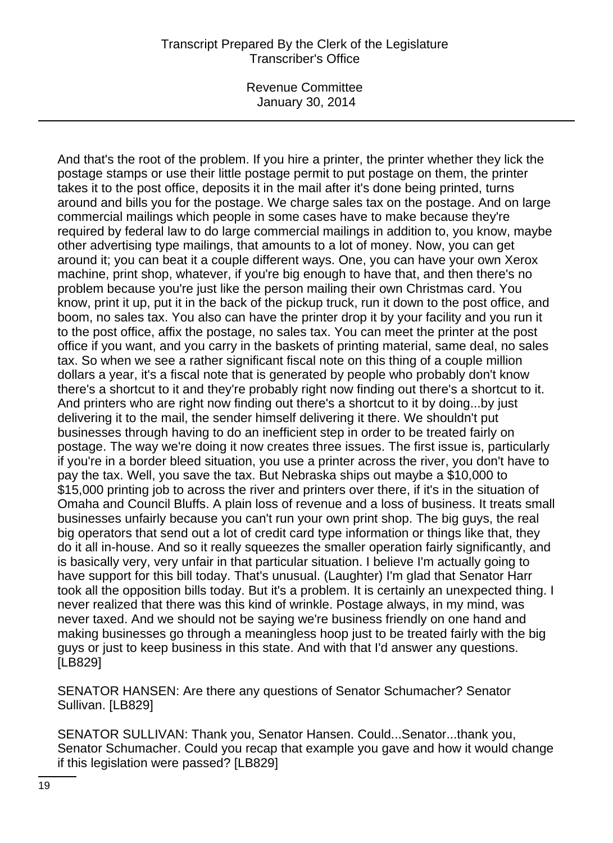Revenue Committee January 30, 2014

And that's the root of the problem. If you hire a printer, the printer whether they lick the postage stamps or use their little postage permit to put postage on them, the printer takes it to the post office, deposits it in the mail after it's done being printed, turns around and bills you for the postage. We charge sales tax on the postage. And on large commercial mailings which people in some cases have to make because they're required by federal law to do large commercial mailings in addition to, you know, maybe other advertising type mailings, that amounts to a lot of money. Now, you can get around it; you can beat it a couple different ways. One, you can have your own Xerox machine, print shop, whatever, if you're big enough to have that, and then there's no problem because you're just like the person mailing their own Christmas card. You know, print it up, put it in the back of the pickup truck, run it down to the post office, and boom, no sales tax. You also can have the printer drop it by your facility and you run it to the post office, affix the postage, no sales tax. You can meet the printer at the post office if you want, and you carry in the baskets of printing material, same deal, no sales tax. So when we see a rather significant fiscal note on this thing of a couple million dollars a year, it's a fiscal note that is generated by people who probably don't know there's a shortcut to it and they're probably right now finding out there's a shortcut to it. And printers who are right now finding out there's a shortcut to it by doing...by just delivering it to the mail, the sender himself delivering it there. We shouldn't put businesses through having to do an inefficient step in order to be treated fairly on postage. The way we're doing it now creates three issues. The first issue is, particularly if you're in a border bleed situation, you use a printer across the river, you don't have to pay the tax. Well, you save the tax. But Nebraska ships out maybe a \$10,000 to \$15,000 printing job to across the river and printers over there, if it's in the situation of Omaha and Council Bluffs. A plain loss of revenue and a loss of business. It treats small businesses unfairly because you can't run your own print shop. The big guys, the real big operators that send out a lot of credit card type information or things like that, they do it all in-house. And so it really squeezes the smaller operation fairly significantly, and is basically very, very unfair in that particular situation. I believe I'm actually going to have support for this bill today. That's unusual. (Laughter) I'm glad that Senator Harr took all the opposition bills today. But it's a problem. It is certainly an unexpected thing. I never realized that there was this kind of wrinkle. Postage always, in my mind, was never taxed. And we should not be saying we're business friendly on one hand and making businesses go through a meaningless hoop just to be treated fairly with the big guys or just to keep business in this state. And with that I'd answer any questions. [LB829]

SENATOR HANSEN: Are there any questions of Senator Schumacher? Senator Sullivan. [LB829]

SENATOR SULLIVAN: Thank you, Senator Hansen. Could...Senator...thank you, Senator Schumacher. Could you recap that example you gave and how it would change if this legislation were passed? [LB829]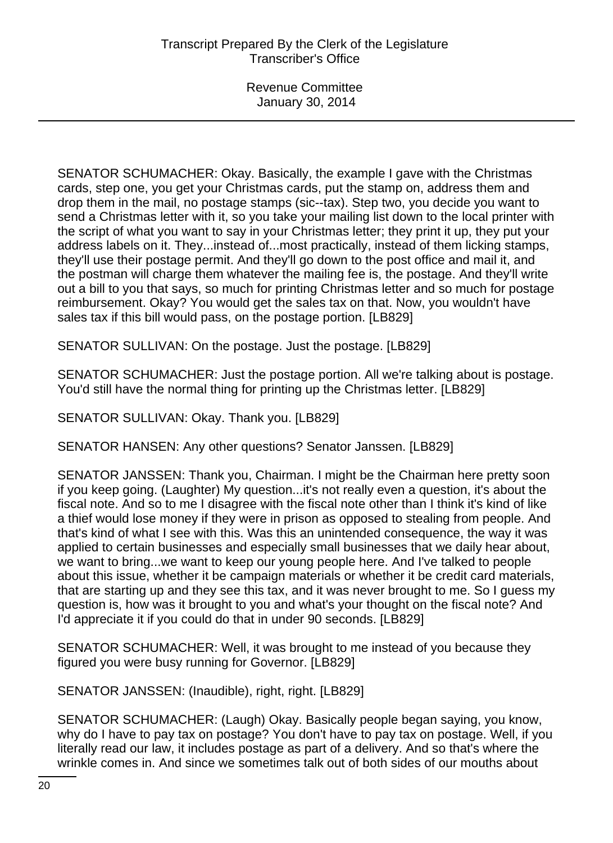SENATOR SCHUMACHER: Okay. Basically, the example I gave with the Christmas cards, step one, you get your Christmas cards, put the stamp on, address them and drop them in the mail, no postage stamps (sic--tax). Step two, you decide you want to send a Christmas letter with it, so you take your mailing list down to the local printer with the script of what you want to say in your Christmas letter; they print it up, they put your address labels on it. They...instead of...most practically, instead of them licking stamps, they'll use their postage permit. And they'll go down to the post office and mail it, and the postman will charge them whatever the mailing fee is, the postage. And they'll write out a bill to you that says, so much for printing Christmas letter and so much for postage reimbursement. Okay? You would get the sales tax on that. Now, you wouldn't have sales tax if this bill would pass, on the postage portion. [LB829]

SENATOR SULLIVAN: On the postage. Just the postage. [LB829]

SENATOR SCHUMACHER: Just the postage portion. All we're talking about is postage. You'd still have the normal thing for printing up the Christmas letter. [LB829]

SENATOR SULLIVAN: Okay. Thank you. [LB829]

SENATOR HANSEN: Any other questions? Senator Janssen. [LB829]

SENATOR JANSSEN: Thank you, Chairman. I might be the Chairman here pretty soon if you keep going. (Laughter) My question...it's not really even a question, it's about the fiscal note. And so to me I disagree with the fiscal note other than I think it's kind of like a thief would lose money if they were in prison as opposed to stealing from people. And that's kind of what I see with this. Was this an unintended consequence, the way it was applied to certain businesses and especially small businesses that we daily hear about, we want to bring...we want to keep our young people here. And I've talked to people about this issue, whether it be campaign materials or whether it be credit card materials, that are starting up and they see this tax, and it was never brought to me. So I guess my question is, how was it brought to you and what's your thought on the fiscal note? And I'd appreciate it if you could do that in under 90 seconds. [LB829]

SENATOR SCHUMACHER: Well, it was brought to me instead of you because they figured you were busy running for Governor. [LB829]

SENATOR JANSSEN: (Inaudible), right, right. [LB829]

SENATOR SCHUMACHER: (Laugh) Okay. Basically people began saying, you know, why do I have to pay tax on postage? You don't have to pay tax on postage. Well, if you literally read our law, it includes postage as part of a delivery. And so that's where the wrinkle comes in. And since we sometimes talk out of both sides of our mouths about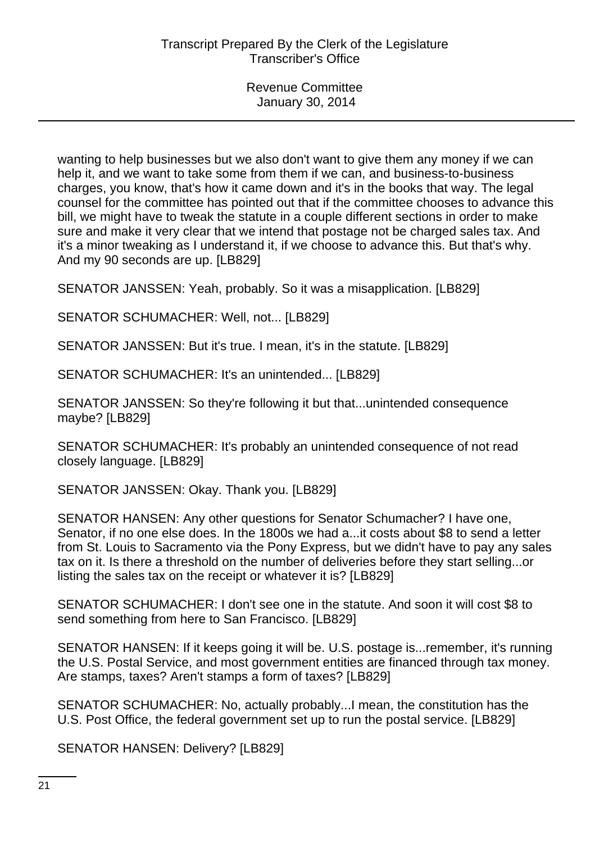wanting to help businesses but we also don't want to give them any money if we can help it, and we want to take some from them if we can, and business-to-business charges, you know, that's how it came down and it's in the books that way. The legal counsel for the committee has pointed out that if the committee chooses to advance this bill, we might have to tweak the statute in a couple different sections in order to make sure and make it very clear that we intend that postage not be charged sales tax. And it's a minor tweaking as I understand it, if we choose to advance this. But that's why. And my 90 seconds are up. [LB829]

SENATOR JANSSEN: Yeah, probably. So it was a misapplication. [LB829]

SENATOR SCHUMACHER: Well, not... [LB829]

SENATOR JANSSEN: But it's true. I mean, it's in the statute. [LB829]

SENATOR SCHUMACHER: It's an unintended... [LB829]

SENATOR JANSSEN: So they're following it but that...unintended consequence maybe? [LB829]

SENATOR SCHUMACHER: It's probably an unintended consequence of not read closely language. [LB829]

SENATOR JANSSEN: Okay. Thank you. [LB829]

SENATOR HANSEN: Any other questions for Senator Schumacher? I have one, Senator, if no one else does. In the 1800s we had a...it costs about \$8 to send a letter from St. Louis to Sacramento via the Pony Express, but we didn't have to pay any sales tax on it. Is there a threshold on the number of deliveries before they start selling...or listing the sales tax on the receipt or whatever it is? [LB829]

SENATOR SCHUMACHER: I don't see one in the statute. And soon it will cost \$8 to send something from here to San Francisco. [LB829]

SENATOR HANSEN: If it keeps going it will be. U.S. postage is...remember, it's running the U.S. Postal Service, and most government entities are financed through tax money. Are stamps, taxes? Aren't stamps a form of taxes? [LB829]

SENATOR SCHUMACHER: No, actually probably...I mean, the constitution has the U.S. Post Office, the federal government set up to run the postal service. [LB829]

SENATOR HANSEN: Delivery? [LB829]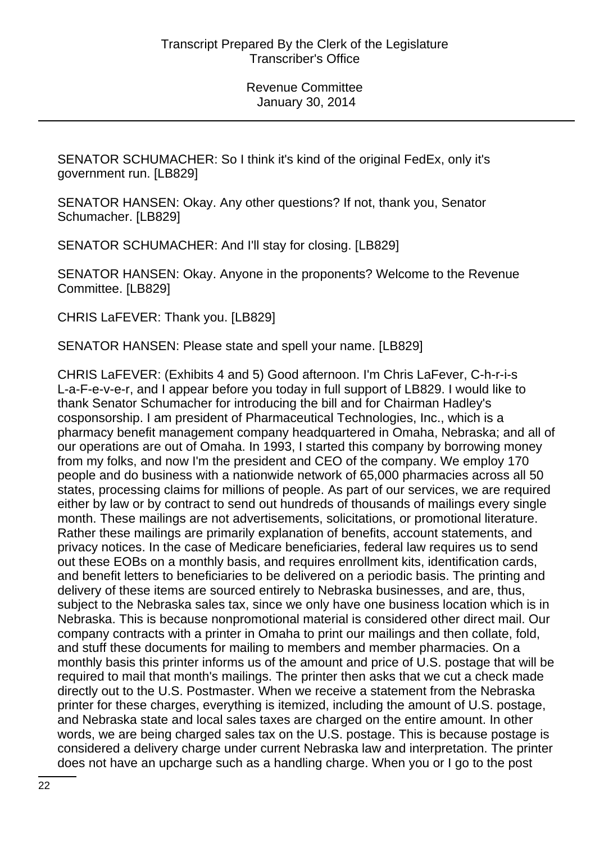SENATOR SCHUMACHER: So I think it's kind of the original FedEx, only it's government run. [LB829]

SENATOR HANSEN: Okay. Any other questions? If not, thank you, Senator Schumacher. [LB829]

SENATOR SCHUMACHER: And I'll stay for closing. [LB829]

SENATOR HANSEN: Okay. Anyone in the proponents? Welcome to the Revenue Committee. [LB829]

CHRIS LaFEVER: Thank you. [LB829]

SENATOR HANSEN: Please state and spell your name. [LB829]

CHRIS LaFEVER: (Exhibits 4 and 5) Good afternoon. I'm Chris LaFever, C-h-r-i-s L-a-F-e-v-e-r, and I appear before you today in full support of LB829. I would like to thank Senator Schumacher for introducing the bill and for Chairman Hadley's cosponsorship. I am president of Pharmaceutical Technologies, Inc., which is a pharmacy benefit management company headquartered in Omaha, Nebraska; and all of our operations are out of Omaha. In 1993, I started this company by borrowing money from my folks, and now I'm the president and CEO of the company. We employ 170 people and do business with a nationwide network of 65,000 pharmacies across all 50 states, processing claims for millions of people. As part of our services, we are required either by law or by contract to send out hundreds of thousands of mailings every single month. These mailings are not advertisements, solicitations, or promotional literature. Rather these mailings are primarily explanation of benefits, account statements, and privacy notices. In the case of Medicare beneficiaries, federal law requires us to send out these EOBs on a monthly basis, and requires enrollment kits, identification cards, and benefit letters to beneficiaries to be delivered on a periodic basis. The printing and delivery of these items are sourced entirely to Nebraska businesses, and are, thus, subject to the Nebraska sales tax, since we only have one business location which is in Nebraska. This is because nonpromotional material is considered other direct mail. Our company contracts with a printer in Omaha to print our mailings and then collate, fold, and stuff these documents for mailing to members and member pharmacies. On a monthly basis this printer informs us of the amount and price of U.S. postage that will be required to mail that month's mailings. The printer then asks that we cut a check made directly out to the U.S. Postmaster. When we receive a statement from the Nebraska printer for these charges, everything is itemized, including the amount of U.S. postage, and Nebraska state and local sales taxes are charged on the entire amount. In other words, we are being charged sales tax on the U.S. postage. This is because postage is considered a delivery charge under current Nebraska law and interpretation. The printer does not have an upcharge such as a handling charge. When you or I go to the post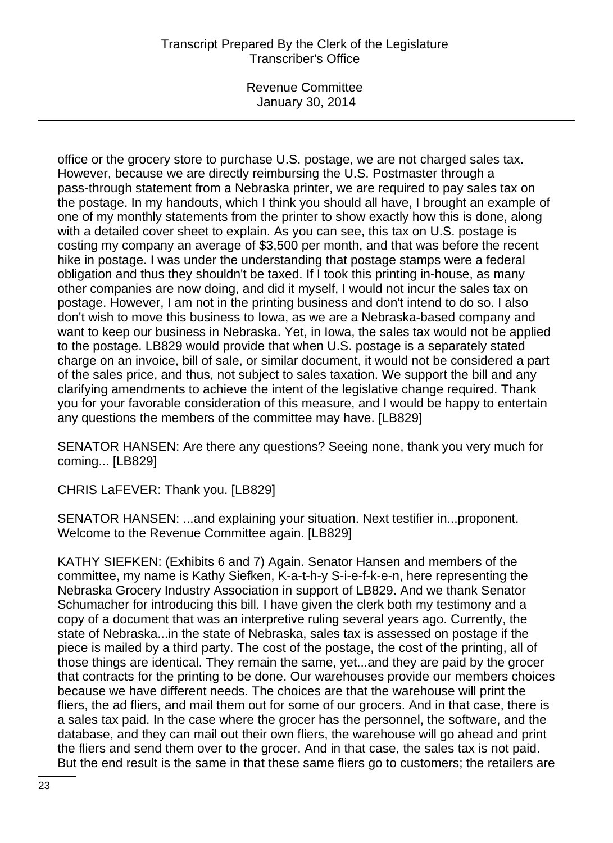Revenue Committee January 30, 2014

office or the grocery store to purchase U.S. postage, we are not charged sales tax. However, because we are directly reimbursing the U.S. Postmaster through a pass-through statement from a Nebraska printer, we are required to pay sales tax on the postage. In my handouts, which I think you should all have, I brought an example of one of my monthly statements from the printer to show exactly how this is done, along with a detailed cover sheet to explain. As you can see, this tax on U.S. postage is costing my company an average of \$3,500 per month, and that was before the recent hike in postage. I was under the understanding that postage stamps were a federal obligation and thus they shouldn't be taxed. If I took this printing in-house, as many other companies are now doing, and did it myself, I would not incur the sales tax on postage. However, I am not in the printing business and don't intend to do so. I also don't wish to move this business to Iowa, as we are a Nebraska-based company and want to keep our business in Nebraska. Yet, in Iowa, the sales tax would not be applied to the postage. LB829 would provide that when U.S. postage is a separately stated charge on an invoice, bill of sale, or similar document, it would not be considered a part of the sales price, and thus, not subject to sales taxation. We support the bill and any clarifying amendments to achieve the intent of the legislative change required. Thank you for your favorable consideration of this measure, and I would be happy to entertain any questions the members of the committee may have. [LB829]

SENATOR HANSEN: Are there any questions? Seeing none, thank you very much for coming... [LB829]

CHRIS LaFEVER: Thank you. [LB829]

SENATOR HANSEN: ...and explaining your situation. Next testifier in...proponent. Welcome to the Revenue Committee again. [LB829]

KATHY SIEFKEN: (Exhibits 6 and 7) Again. Senator Hansen and members of the committee, my name is Kathy Siefken, K-a-t-h-y S-i-e-f-k-e-n, here representing the Nebraska Grocery Industry Association in support of LB829. And we thank Senator Schumacher for introducing this bill. I have given the clerk both my testimony and a copy of a document that was an interpretive ruling several years ago. Currently, the state of Nebraska...in the state of Nebraska, sales tax is assessed on postage if the piece is mailed by a third party. The cost of the postage, the cost of the printing, all of those things are identical. They remain the same, yet...and they are paid by the grocer that contracts for the printing to be done. Our warehouses provide our members choices because we have different needs. The choices are that the warehouse will print the fliers, the ad fliers, and mail them out for some of our grocers. And in that case, there is a sales tax paid. In the case where the grocer has the personnel, the software, and the database, and they can mail out their own fliers, the warehouse will go ahead and print the fliers and send them over to the grocer. And in that case, the sales tax is not paid. But the end result is the same in that these same fliers go to customers; the retailers are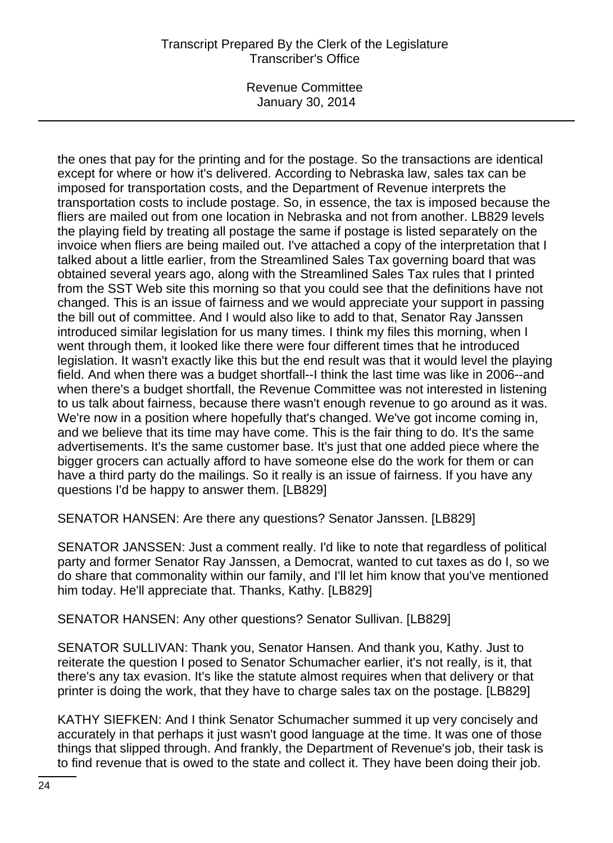Revenue Committee January 30, 2014

the ones that pay for the printing and for the postage. So the transactions are identical except for where or how it's delivered. According to Nebraska law, sales tax can be imposed for transportation costs, and the Department of Revenue interprets the transportation costs to include postage. So, in essence, the tax is imposed because the fliers are mailed out from one location in Nebraska and not from another. LB829 levels the playing field by treating all postage the same if postage is listed separately on the invoice when fliers are being mailed out. I've attached a copy of the interpretation that I talked about a little earlier, from the Streamlined Sales Tax governing board that was obtained several years ago, along with the Streamlined Sales Tax rules that I printed from the SST Web site this morning so that you could see that the definitions have not changed. This is an issue of fairness and we would appreciate your support in passing the bill out of committee. And I would also like to add to that, Senator Ray Janssen introduced similar legislation for us many times. I think my files this morning, when I went through them, it looked like there were four different times that he introduced legislation. It wasn't exactly like this but the end result was that it would level the playing field. And when there was a budget shortfall--I think the last time was like in 2006--and when there's a budget shortfall, the Revenue Committee was not interested in listening to us talk about fairness, because there wasn't enough revenue to go around as it was. We're now in a position where hopefully that's changed. We've got income coming in, and we believe that its time may have come. This is the fair thing to do. It's the same advertisements. It's the same customer base. It's just that one added piece where the bigger grocers can actually afford to have someone else do the work for them or can have a third party do the mailings. So it really is an issue of fairness. If you have any questions I'd be happy to answer them. [LB829]

SENATOR HANSEN: Are there any questions? Senator Janssen. [LB829]

SENATOR JANSSEN: Just a comment really. I'd like to note that regardless of political party and former Senator Ray Janssen, a Democrat, wanted to cut taxes as do I, so we do share that commonality within our family, and I'll let him know that you've mentioned him today. He'll appreciate that. Thanks, Kathy. [LB829]

SENATOR HANSEN: Any other questions? Senator Sullivan. [LB829]

SENATOR SULLIVAN: Thank you, Senator Hansen. And thank you, Kathy. Just to reiterate the question I posed to Senator Schumacher earlier, it's not really, is it, that there's any tax evasion. It's like the statute almost requires when that delivery or that printer is doing the work, that they have to charge sales tax on the postage. [LB829]

KATHY SIEFKEN: And I think Senator Schumacher summed it up very concisely and accurately in that perhaps it just wasn't good language at the time. It was one of those things that slipped through. And frankly, the Department of Revenue's job, their task is to find revenue that is owed to the state and collect it. They have been doing their job.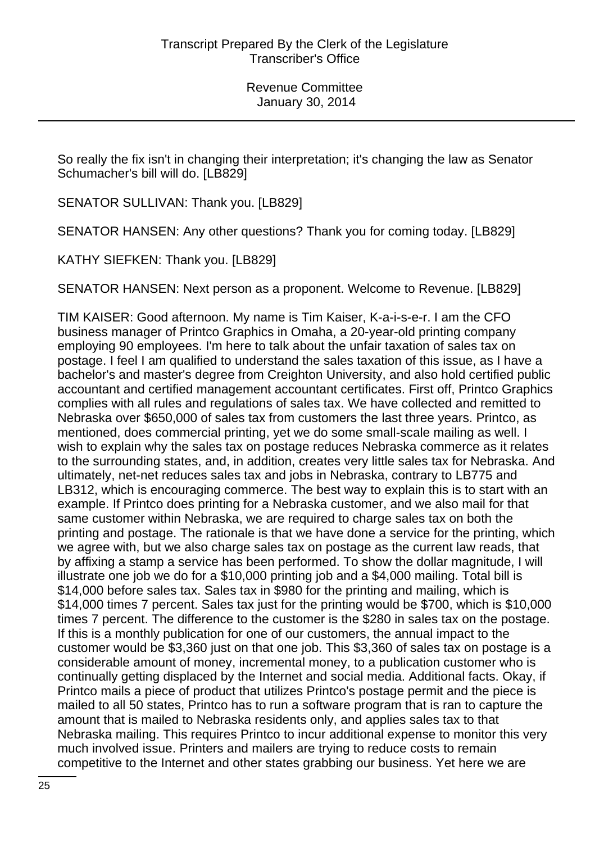So really the fix isn't in changing their interpretation; it's changing the law as Senator Schumacher's bill will do. [LB829]

SENATOR SULLIVAN: Thank you. [LB829]

SENATOR HANSEN: Any other questions? Thank you for coming today. [LB829]

KATHY SIEFKEN: Thank you. [LB829]

SENATOR HANSEN: Next person as a proponent. Welcome to Revenue. [LB829]

TIM KAISER: Good afternoon. My name is Tim Kaiser, K-a-i-s-e-r. I am the CFO business manager of Printco Graphics in Omaha, a 20-year-old printing company employing 90 employees. I'm here to talk about the unfair taxation of sales tax on postage. I feel I am qualified to understand the sales taxation of this issue, as I have a bachelor's and master's degree from Creighton University, and also hold certified public accountant and certified management accountant certificates. First off, Printco Graphics complies with all rules and regulations of sales tax. We have collected and remitted to Nebraska over \$650,000 of sales tax from customers the last three years. Printco, as mentioned, does commercial printing, yet we do some small-scale mailing as well. I wish to explain why the sales tax on postage reduces Nebraska commerce as it relates to the surrounding states, and, in addition, creates very little sales tax for Nebraska. And ultimately, net-net reduces sales tax and jobs in Nebraska, contrary to LB775 and LB312, which is encouraging commerce. The best way to explain this is to start with an example. If Printco does printing for a Nebraska customer, and we also mail for that same customer within Nebraska, we are required to charge sales tax on both the printing and postage. The rationale is that we have done a service for the printing, which we agree with, but we also charge sales tax on postage as the current law reads, that by affixing a stamp a service has been performed. To show the dollar magnitude, I will illustrate one job we do for a \$10,000 printing job and a \$4,000 mailing. Total bill is \$14,000 before sales tax. Sales tax in \$980 for the printing and mailing, which is \$14,000 times 7 percent. Sales tax just for the printing would be \$700, which is \$10,000 times 7 percent. The difference to the customer is the \$280 in sales tax on the postage. If this is a monthly publication for one of our customers, the annual impact to the customer would be \$3,360 just on that one job. This \$3,360 of sales tax on postage is a considerable amount of money, incremental money, to a publication customer who is continually getting displaced by the Internet and social media. Additional facts. Okay, if Printco mails a piece of product that utilizes Printco's postage permit and the piece is mailed to all 50 states, Printco has to run a software program that is ran to capture the amount that is mailed to Nebraska residents only, and applies sales tax to that Nebraska mailing. This requires Printco to incur additional expense to monitor this very much involved issue. Printers and mailers are trying to reduce costs to remain competitive to the Internet and other states grabbing our business. Yet here we are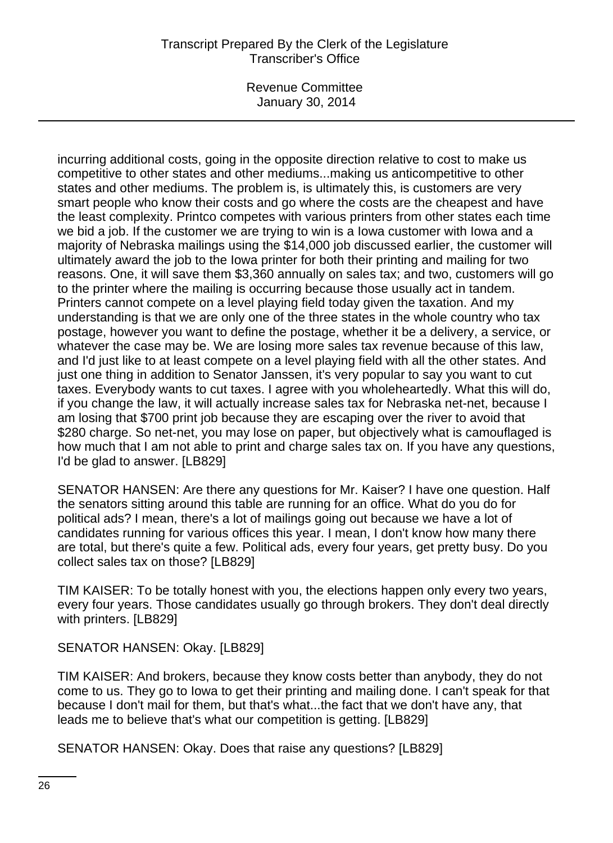Revenue Committee January 30, 2014

incurring additional costs, going in the opposite direction relative to cost to make us competitive to other states and other mediums...making us anticompetitive to other states and other mediums. The problem is, is ultimately this, is customers are very smart people who know their costs and go where the costs are the cheapest and have the least complexity. Printco competes with various printers from other states each time we bid a job. If the customer we are trying to win is a Iowa customer with Iowa and a majority of Nebraska mailings using the \$14,000 job discussed earlier, the customer will ultimately award the job to the Iowa printer for both their printing and mailing for two reasons. One, it will save them \$3,360 annually on sales tax; and two, customers will go to the printer where the mailing is occurring because those usually act in tandem. Printers cannot compete on a level playing field today given the taxation. And my understanding is that we are only one of the three states in the whole country who tax postage, however you want to define the postage, whether it be a delivery, a service, or whatever the case may be. We are losing more sales tax revenue because of this law, and I'd just like to at least compete on a level playing field with all the other states. And just one thing in addition to Senator Janssen, it's very popular to say you want to cut taxes. Everybody wants to cut taxes. I agree with you wholeheartedly. What this will do, if you change the law, it will actually increase sales tax for Nebraska net-net, because I am losing that \$700 print job because they are escaping over the river to avoid that \$280 charge. So net-net, you may lose on paper, but objectively what is camouflaged is how much that I am not able to print and charge sales tax on. If you have any questions, I'd be glad to answer. [LB829]

SENATOR HANSEN: Are there any questions for Mr. Kaiser? I have one question. Half the senators sitting around this table are running for an office. What do you do for political ads? I mean, there's a lot of mailings going out because we have a lot of candidates running for various offices this year. I mean, I don't know how many there are total, but there's quite a few. Political ads, every four years, get pretty busy. Do you collect sales tax on those? [LB829]

TIM KAISER: To be totally honest with you, the elections happen only every two years, every four years. Those candidates usually go through brokers. They don't deal directly with printers. [LB829]

SENATOR HANSEN: Okay. [LB829]

TIM KAISER: And brokers, because they know costs better than anybody, they do not come to us. They go to Iowa to get their printing and mailing done. I can't speak for that because I don't mail for them, but that's what...the fact that we don't have any, that leads me to believe that's what our competition is getting. [LB829]

SENATOR HANSEN: Okay. Does that raise any questions? [LB829]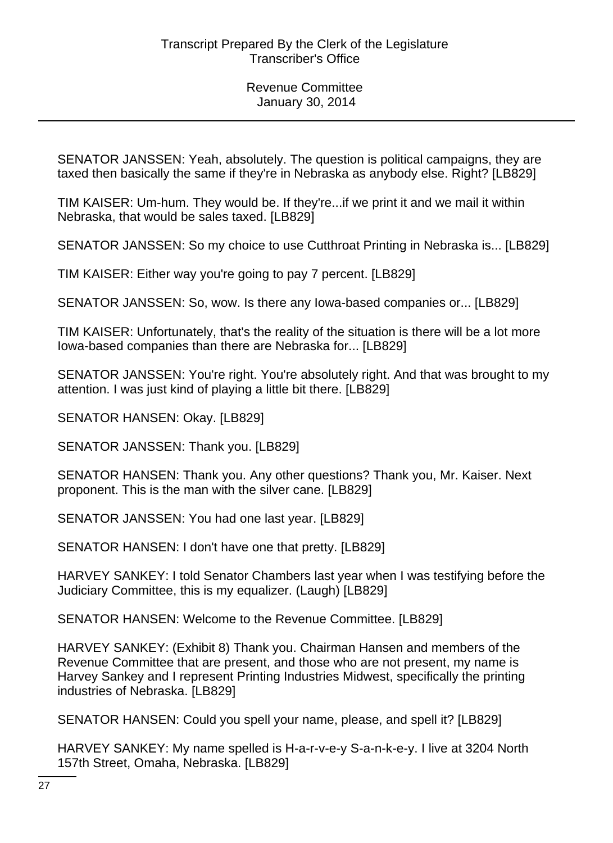SENATOR JANSSEN: Yeah, absolutely. The question is political campaigns, they are taxed then basically the same if they're in Nebraska as anybody else. Right? [LB829]

TIM KAISER: Um-hum. They would be. If they're...if we print it and we mail it within Nebraska, that would be sales taxed. [LB829]

SENATOR JANSSEN: So my choice to use Cutthroat Printing in Nebraska is... [LB829]

TIM KAISER: Either way you're going to pay 7 percent. [LB829]

SENATOR JANSSEN: So, wow. Is there any Iowa-based companies or... [LB829]

TIM KAISER: Unfortunately, that's the reality of the situation is there will be a lot more Iowa-based companies than there are Nebraska for... [LB829]

SENATOR JANSSEN: You're right. You're absolutely right. And that was brought to my attention. I was just kind of playing a little bit there. [LB829]

SENATOR HANSEN: Okay. [LB829]

SENATOR JANSSEN: Thank you. [LB829]

SENATOR HANSEN: Thank you. Any other questions? Thank you, Mr. Kaiser. Next proponent. This is the man with the silver cane. [LB829]

SENATOR JANSSEN: You had one last year. [LB829]

SENATOR HANSEN: I don't have one that pretty. [LB829]

HARVEY SANKEY: I told Senator Chambers last year when I was testifying before the Judiciary Committee, this is my equalizer. (Laugh) [LB829]

SENATOR HANSEN: Welcome to the Revenue Committee. [LB829]

HARVEY SANKEY: (Exhibit 8) Thank you. Chairman Hansen and members of the Revenue Committee that are present, and those who are not present, my name is Harvey Sankey and I represent Printing Industries Midwest, specifically the printing industries of Nebraska. [LB829]

SENATOR HANSEN: Could you spell your name, please, and spell it? [LB829]

HARVEY SANKEY: My name spelled is H-a-r-v-e-y S-a-n-k-e-y. I live at 3204 North 157th Street, Omaha, Nebraska. [LB829]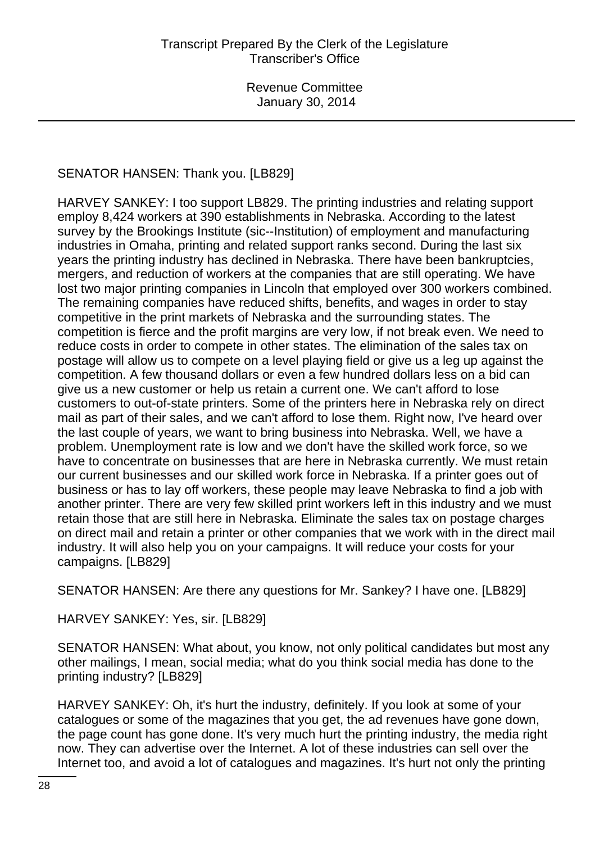# SENATOR HANSEN: Thank you. [LB829]

HARVEY SANKEY: I too support LB829. The printing industries and relating support employ 8,424 workers at 390 establishments in Nebraska. According to the latest survey by the Brookings Institute (sic--Institution) of employment and manufacturing industries in Omaha, printing and related support ranks second. During the last six years the printing industry has declined in Nebraska. There have been bankruptcies, mergers, and reduction of workers at the companies that are still operating. We have lost two major printing companies in Lincoln that employed over 300 workers combined. The remaining companies have reduced shifts, benefits, and wages in order to stay competitive in the print markets of Nebraska and the surrounding states. The competition is fierce and the profit margins are very low, if not break even. We need to reduce costs in order to compete in other states. The elimination of the sales tax on postage will allow us to compete on a level playing field or give us a leg up against the competition. A few thousand dollars or even a few hundred dollars less on a bid can give us a new customer or help us retain a current one. We can't afford to lose customers to out-of-state printers. Some of the printers here in Nebraska rely on direct mail as part of their sales, and we can't afford to lose them. Right now, I've heard over the last couple of years, we want to bring business into Nebraska. Well, we have a problem. Unemployment rate is low and we don't have the skilled work force, so we have to concentrate on businesses that are here in Nebraska currently. We must retain our current businesses and our skilled work force in Nebraska. If a printer goes out of business or has to lay off workers, these people may leave Nebraska to find a job with another printer. There are very few skilled print workers left in this industry and we must retain those that are still here in Nebraska. Eliminate the sales tax on postage charges on direct mail and retain a printer or other companies that we work with in the direct mail industry. It will also help you on your campaigns. It will reduce your costs for your campaigns. [LB829]

SENATOR HANSEN: Are there any questions for Mr. Sankey? I have one. [LB829]

HARVEY SANKEY: Yes, sir. [LB829]

SENATOR HANSEN: What about, you know, not only political candidates but most any other mailings, I mean, social media; what do you think social media has done to the printing industry? [LB829]

HARVEY SANKEY: Oh, it's hurt the industry, definitely. If you look at some of your catalogues or some of the magazines that you get, the ad revenues have gone down, the page count has gone done. It's very much hurt the printing industry, the media right now. They can advertise over the Internet. A lot of these industries can sell over the Internet too, and avoid a lot of catalogues and magazines. It's hurt not only the printing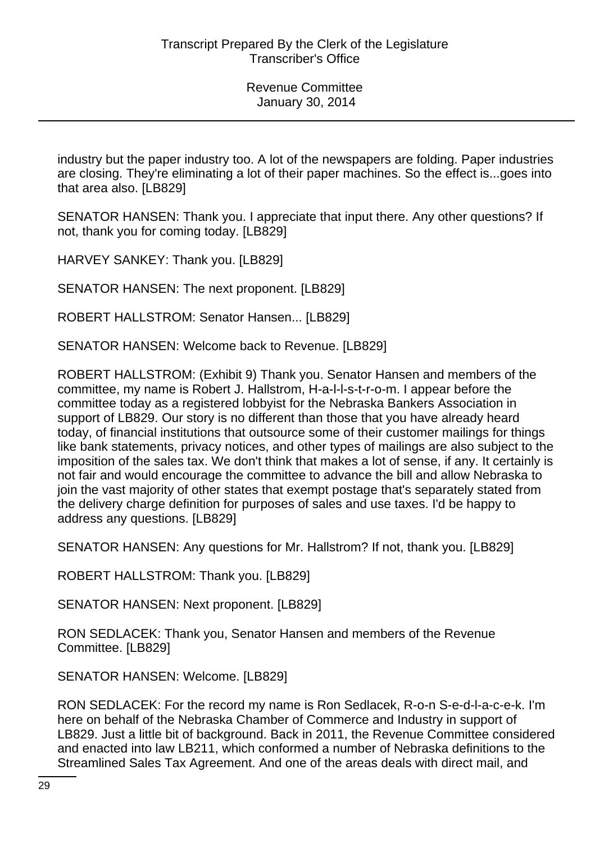industry but the paper industry too. A lot of the newspapers are folding. Paper industries are closing. They're eliminating a lot of their paper machines. So the effect is...goes into that area also. [LB829]

SENATOR HANSEN: Thank you. I appreciate that input there. Any other questions? If not, thank you for coming today. [LB829]

HARVEY SANKEY: Thank you. [LB829]

SENATOR HANSEN: The next proponent. [LB829]

ROBERT HALLSTROM: Senator Hansen... [LB829]

SENATOR HANSEN: Welcome back to Revenue. [LB829]

ROBERT HALLSTROM: (Exhibit 9) Thank you. Senator Hansen and members of the committee, my name is Robert J. Hallstrom, H-a-l-l-s-t-r-o-m. I appear before the committee today as a registered lobbyist for the Nebraska Bankers Association in support of LB829. Our story is no different than those that you have already heard today, of financial institutions that outsource some of their customer mailings for things like bank statements, privacy notices, and other types of mailings are also subject to the imposition of the sales tax. We don't think that makes a lot of sense, if any. It certainly is not fair and would encourage the committee to advance the bill and allow Nebraska to join the vast majority of other states that exempt postage that's separately stated from the delivery charge definition for purposes of sales and use taxes. I'd be happy to address any questions. [LB829]

SENATOR HANSEN: Any questions for Mr. Hallstrom? If not, thank you. [LB829]

ROBERT HALLSTROM: Thank you. [LB829]

SENATOR HANSEN: Next proponent. [LB829]

RON SEDLACEK: Thank you, Senator Hansen and members of the Revenue Committee. [LB829]

SENATOR HANSEN: Welcome. [LB829]

RON SEDLACEK: For the record my name is Ron Sedlacek, R-o-n S-e-d-l-a-c-e-k. I'm here on behalf of the Nebraska Chamber of Commerce and Industry in support of LB829. Just a little bit of background. Back in 2011, the Revenue Committee considered and enacted into law LB211, which conformed a number of Nebraska definitions to the Streamlined Sales Tax Agreement. And one of the areas deals with direct mail, and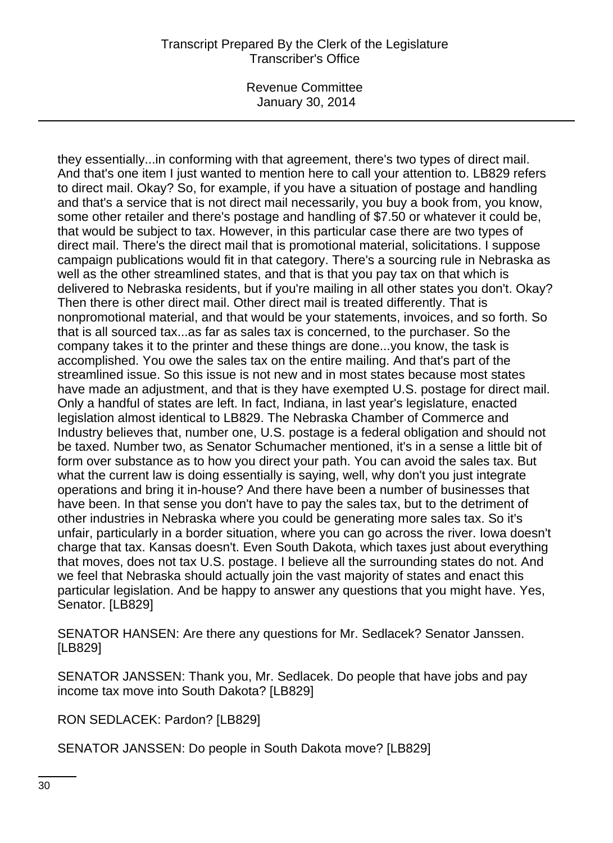Revenue Committee January 30, 2014

they essentially...in conforming with that agreement, there's two types of direct mail. And that's one item I just wanted to mention here to call your attention to. LB829 refers to direct mail. Okay? So, for example, if you have a situation of postage and handling and that's a service that is not direct mail necessarily, you buy a book from, you know, some other retailer and there's postage and handling of \$7.50 or whatever it could be, that would be subject to tax. However, in this particular case there are two types of direct mail. There's the direct mail that is promotional material, solicitations. I suppose campaign publications would fit in that category. There's a sourcing rule in Nebraska as well as the other streamlined states, and that is that you pay tax on that which is delivered to Nebraska residents, but if you're mailing in all other states you don't. Okay? Then there is other direct mail. Other direct mail is treated differently. That is nonpromotional material, and that would be your statements, invoices, and so forth. So that is all sourced tax...as far as sales tax is concerned, to the purchaser. So the company takes it to the printer and these things are done...you know, the task is accomplished. You owe the sales tax on the entire mailing. And that's part of the streamlined issue. So this issue is not new and in most states because most states have made an adjustment, and that is they have exempted U.S. postage for direct mail. Only a handful of states are left. In fact, Indiana, in last year's legislature, enacted legislation almost identical to LB829. The Nebraska Chamber of Commerce and Industry believes that, number one, U.S. postage is a federal obligation and should not be taxed. Number two, as Senator Schumacher mentioned, it's in a sense a little bit of form over substance as to how you direct your path. You can avoid the sales tax. But what the current law is doing essentially is saying, well, why don't you just integrate operations and bring it in-house? And there have been a number of businesses that have been. In that sense you don't have to pay the sales tax, but to the detriment of other industries in Nebraska where you could be generating more sales tax. So it's unfair, particularly in a border situation, where you can go across the river. Iowa doesn't charge that tax. Kansas doesn't. Even South Dakota, which taxes just about everything that moves, does not tax U.S. postage. I believe all the surrounding states do not. And we feel that Nebraska should actually join the vast majority of states and enact this particular legislation. And be happy to answer any questions that you might have. Yes, Senator. [LB829]

SENATOR HANSEN: Are there any questions for Mr. Sedlacek? Senator Janssen. [LB829]

SENATOR JANSSEN: Thank you, Mr. Sedlacek. Do people that have jobs and pay income tax move into South Dakota? [LB829]

RON SEDLACEK: Pardon? [LB829]

SENATOR JANSSEN: Do people in South Dakota move? [LB829]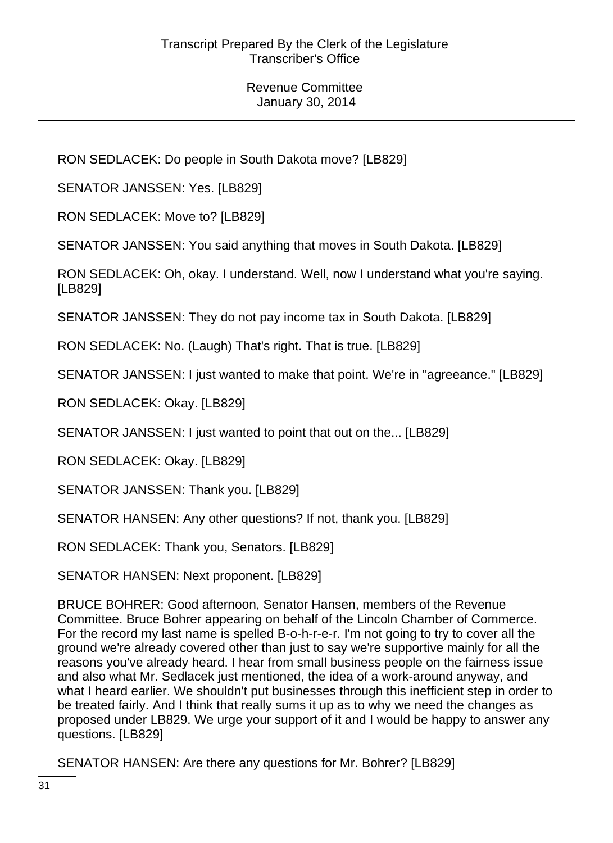RON SEDLACEK: Do people in South Dakota move? [LB829]

SENATOR JANSSEN: Yes. [LB829]

RON SEDLACEK: Move to? [LB829]

SENATOR JANSSEN: You said anything that moves in South Dakota. [LB829]

RON SEDLACEK: Oh, okay. I understand. Well, now I understand what you're saying. [LB829]

SENATOR JANSSEN: They do not pay income tax in South Dakota. [LB829]

RON SEDLACEK: No. (Laugh) That's right. That is true. [LB829]

SENATOR JANSSEN: I just wanted to make that point. We're in "agreeance." [LB829]

RON SEDLACEK: Okay. [LB829]

SENATOR JANSSEN: I just wanted to point that out on the... [LB829]

RON SEDLACEK: Okay. [LB829]

SENATOR JANSSEN: Thank you. [LB829]

SENATOR HANSEN: Any other questions? If not, thank you. [LB829]

RON SEDLACEK: Thank you, Senators. [LB829]

SENATOR HANSEN: Next proponent. [LB829]

BRUCE BOHRER: Good afternoon, Senator Hansen, members of the Revenue Committee. Bruce Bohrer appearing on behalf of the Lincoln Chamber of Commerce. For the record my last name is spelled B-o-h-r-e-r. I'm not going to try to cover all the ground we're already covered other than just to say we're supportive mainly for all the reasons you've already heard. I hear from small business people on the fairness issue and also what Mr. Sedlacek just mentioned, the idea of a work-around anyway, and what I heard earlier. We shouldn't put businesses through this inefficient step in order to be treated fairly. And I think that really sums it up as to why we need the changes as proposed under LB829. We urge your support of it and I would be happy to answer any questions. [LB829]

SENATOR HANSEN: Are there any questions for Mr. Bohrer? [LB829]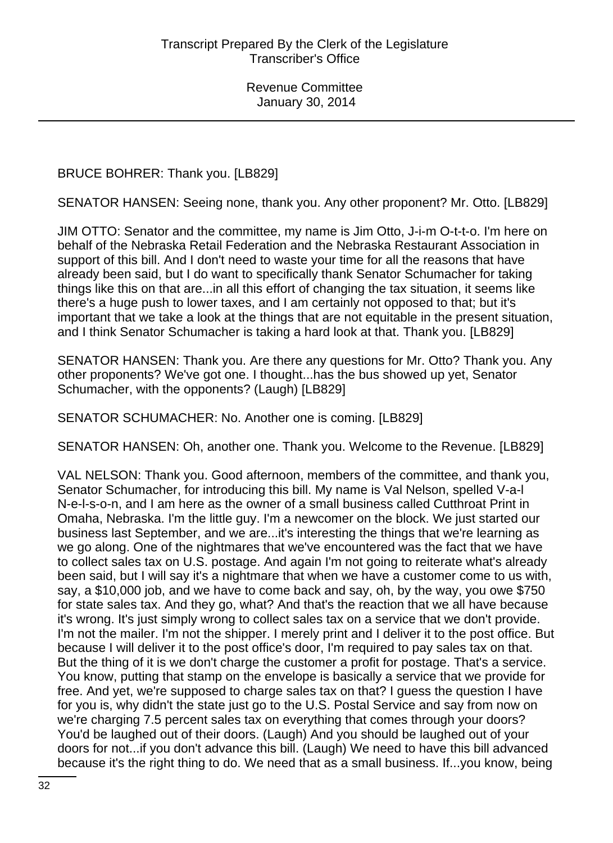BRUCE BOHRER: Thank you. [LB829]

SENATOR HANSEN: Seeing none, thank you. Any other proponent? Mr. Otto. [LB829]

JIM OTTO: Senator and the committee, my name is Jim Otto, J-i-m O-t-t-o. I'm here on behalf of the Nebraska Retail Federation and the Nebraska Restaurant Association in support of this bill. And I don't need to waste your time for all the reasons that have already been said, but I do want to specifically thank Senator Schumacher for taking things like this on that are...in all this effort of changing the tax situation, it seems like there's a huge push to lower taxes, and I am certainly not opposed to that; but it's important that we take a look at the things that are not equitable in the present situation, and I think Senator Schumacher is taking a hard look at that. Thank you. [LB829]

SENATOR HANSEN: Thank you. Are there any questions for Mr. Otto? Thank you. Any other proponents? We've got one. I thought...has the bus showed up yet, Senator Schumacher, with the opponents? (Laugh) [LB829]

SENATOR SCHUMACHER: No. Another one is coming. [LB829]

SENATOR HANSEN: Oh, another one. Thank you. Welcome to the Revenue. [LB829]

VAL NELSON: Thank you. Good afternoon, members of the committee, and thank you, Senator Schumacher, for introducing this bill. My name is Val Nelson, spelled V-a-l N-e-l-s-o-n, and I am here as the owner of a small business called Cutthroat Print in Omaha, Nebraska. I'm the little guy. I'm a newcomer on the block. We just started our business last September, and we are...it's interesting the things that we're learning as we go along. One of the nightmares that we've encountered was the fact that we have to collect sales tax on U.S. postage. And again I'm not going to reiterate what's already been said, but I will say it's a nightmare that when we have a customer come to us with, say, a \$10,000 job, and we have to come back and say, oh, by the way, you owe \$750 for state sales tax. And they go, what? And that's the reaction that we all have because it's wrong. It's just simply wrong to collect sales tax on a service that we don't provide. I'm not the mailer. I'm not the shipper. I merely print and I deliver it to the post office. But because I will deliver it to the post office's door, I'm required to pay sales tax on that. But the thing of it is we don't charge the customer a profit for postage. That's a service. You know, putting that stamp on the envelope is basically a service that we provide for free. And yet, we're supposed to charge sales tax on that? I guess the question I have for you is, why didn't the state just go to the U.S. Postal Service and say from now on we're charging 7.5 percent sales tax on everything that comes through your doors? You'd be laughed out of their doors. (Laugh) And you should be laughed out of your doors for not...if you don't advance this bill. (Laugh) We need to have this bill advanced because it's the right thing to do. We need that as a small business. If...you know, being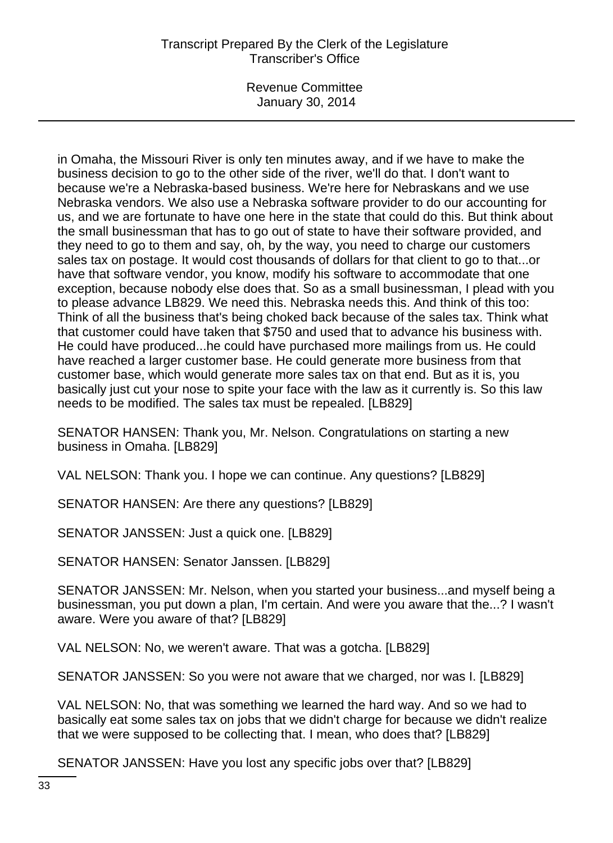Revenue Committee January 30, 2014

in Omaha, the Missouri River is only ten minutes away, and if we have to make the business decision to go to the other side of the river, we'll do that. I don't want to because we're a Nebraska-based business. We're here for Nebraskans and we use Nebraska vendors. We also use a Nebraska software provider to do our accounting for us, and we are fortunate to have one here in the state that could do this. But think about the small businessman that has to go out of state to have their software provided, and they need to go to them and say, oh, by the way, you need to charge our customers sales tax on postage. It would cost thousands of dollars for that client to go to that...or have that software vendor, you know, modify his software to accommodate that one exception, because nobody else does that. So as a small businessman, I plead with you to please advance LB829. We need this. Nebraska needs this. And think of this too: Think of all the business that's being choked back because of the sales tax. Think what that customer could have taken that \$750 and used that to advance his business with. He could have produced...he could have purchased more mailings from us. He could have reached a larger customer base. He could generate more business from that customer base, which would generate more sales tax on that end. But as it is, you basically just cut your nose to spite your face with the law as it currently is. So this law needs to be modified. The sales tax must be repealed. [LB829]

SENATOR HANSEN: Thank you, Mr. Nelson. Congratulations on starting a new business in Omaha. [LB829]

VAL NELSON: Thank you. I hope we can continue. Any questions? [LB829]

SENATOR HANSEN: Are there any questions? [LB829]

SENATOR JANSSEN: Just a quick one. [LB829]

SENATOR HANSEN: Senator Janssen. [LB829]

SENATOR JANSSEN: Mr. Nelson, when you started your business...and myself being a businessman, you put down a plan, I'm certain. And were you aware that the...? I wasn't aware. Were you aware of that? [LB829]

VAL NELSON: No, we weren't aware. That was a gotcha. [LB829]

SENATOR JANSSEN: So you were not aware that we charged, nor was I. [LB829]

VAL NELSON: No, that was something we learned the hard way. And so we had to basically eat some sales tax on jobs that we didn't charge for because we didn't realize that we were supposed to be collecting that. I mean, who does that? [LB829]

SENATOR JANSSEN: Have you lost any specific jobs over that? [LB829]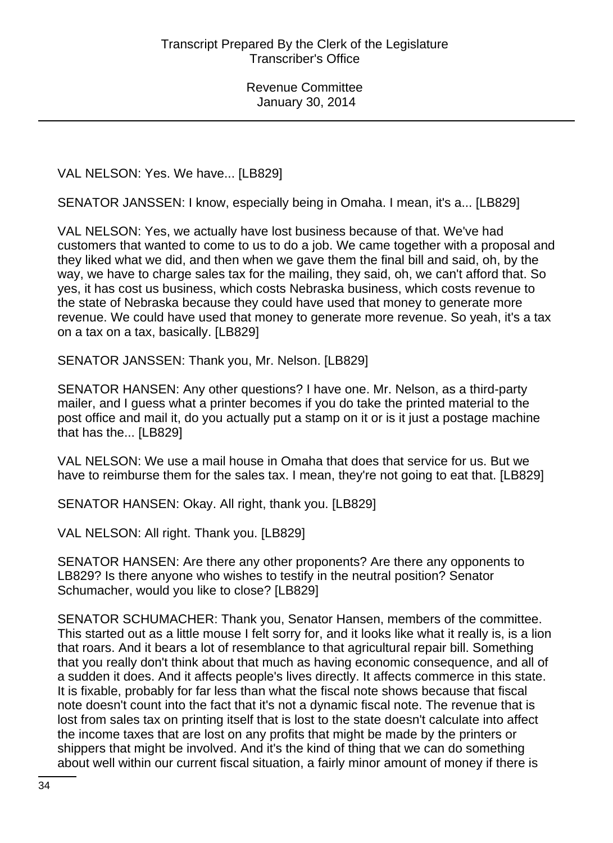VAL NELSON: Yes. We have... [LB829]

SENATOR JANSSEN: I know, especially being in Omaha. I mean, it's a... [LB829]

VAL NELSON: Yes, we actually have lost business because of that. We've had customers that wanted to come to us to do a job. We came together with a proposal and they liked what we did, and then when we gave them the final bill and said, oh, by the way, we have to charge sales tax for the mailing, they said, oh, we can't afford that. So yes, it has cost us business, which costs Nebraska business, which costs revenue to the state of Nebraska because they could have used that money to generate more revenue. We could have used that money to generate more revenue. So yeah, it's a tax on a tax on a tax, basically. [LB829]

SENATOR JANSSEN: Thank you, Mr. Nelson. [LB829]

SENATOR HANSEN: Any other questions? I have one. Mr. Nelson, as a third-party mailer, and I guess what a printer becomes if you do take the printed material to the post office and mail it, do you actually put a stamp on it or is it just a postage machine that has the... [LB829]

VAL NELSON: We use a mail house in Omaha that does that service for us. But we have to reimburse them for the sales tax. I mean, they're not going to eat that. [LB829]

SENATOR HANSEN: Okay. All right, thank you. [LB829]

VAL NELSON: All right. Thank you. [LB829]

SENATOR HANSEN: Are there any other proponents? Are there any opponents to LB829? Is there anyone who wishes to testify in the neutral position? Senator Schumacher, would you like to close? [LB829]

SENATOR SCHUMACHER: Thank you, Senator Hansen, members of the committee. This started out as a little mouse I felt sorry for, and it looks like what it really is, is a lion that roars. And it bears a lot of resemblance to that agricultural repair bill. Something that you really don't think about that much as having economic consequence, and all of a sudden it does. And it affects people's lives directly. It affects commerce in this state. It is fixable, probably for far less than what the fiscal note shows because that fiscal note doesn't count into the fact that it's not a dynamic fiscal note. The revenue that is lost from sales tax on printing itself that is lost to the state doesn't calculate into affect the income taxes that are lost on any profits that might be made by the printers or shippers that might be involved. And it's the kind of thing that we can do something about well within our current fiscal situation, a fairly minor amount of money if there is